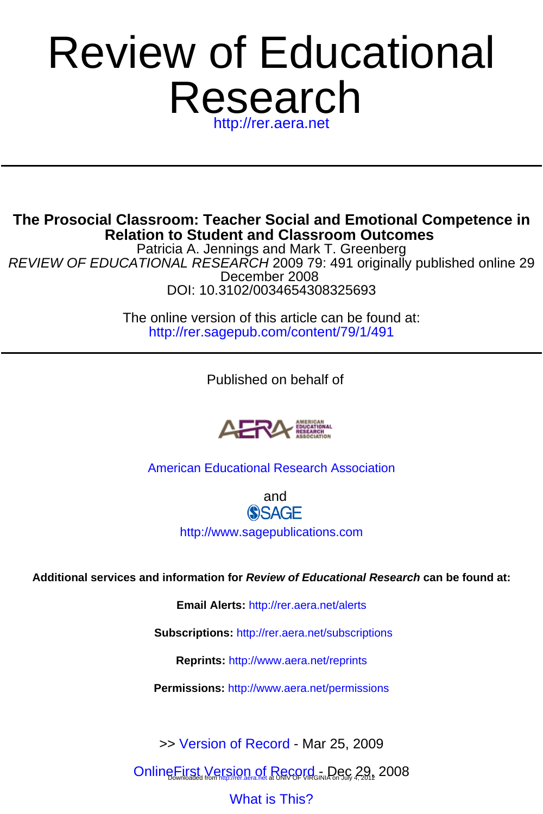# Research <http://rer.aera.net> Review of Educational

Patricia A. Jennings and Mark T. Greenberg **Relation to Student and Classroom Outcomes The Prosocial Classroom: Teacher Social and Emotional Competence in**

DOI: 10.3102/0034654308325693 December 2008 REVIEW OF EDUCATIONAL RESEARCH 2009 79: 491 originally published online 29

> <http://rer.sagepub.com/content/79/1/491> The online version of this article can be found at:

> > Published on behalf of



[American Educational Research Association](http://www.aera.net)

and<br>SAGE®

<http://www.sagepublications.com>

**Additional services and information for Review of Educational Research can be found at:**

**Email Alerts:** <http://rer.aera.net/alerts>

**Subscriptions:** <http://rer.aera.net/subscriptions>

**Reprints:** <http://www.aera.net/reprints>

**Permissions:** <http://www.aera.net/permissions>

>> [Version of Record -](http://rer.sagepub.com/content/79/1/491.full.pdf) Mar 25, 2009

Online First Version of Record - Dec 29, 2008

[What is This?](http://online.sagepub.com/site/sphelp/vorhelp.xhtml)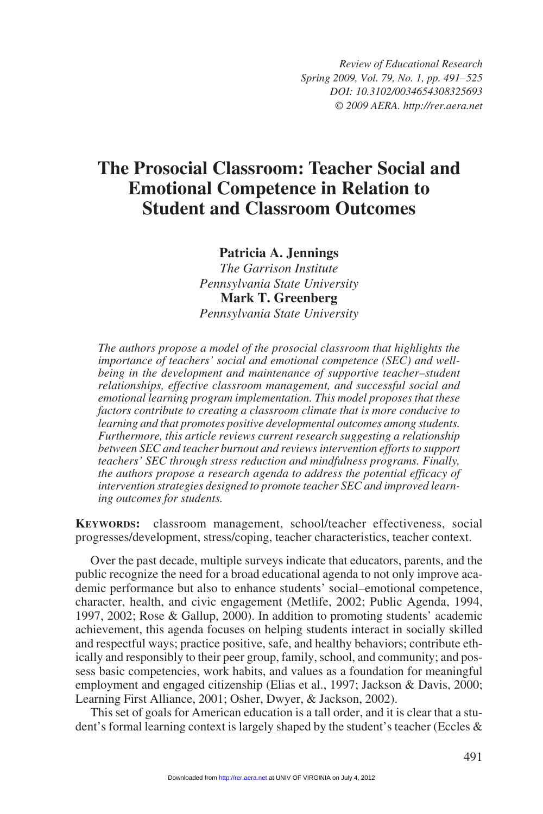*Review of Educational Research Spring 2009, Vol. 79, No. 1, pp. 491–525 DOI: 10.3102/0034654308325693 © 2009 AERA. http://rer.aera.net*

# **The Prosocial Classroom: Teacher Social and Emotional Competence in Relation to Student and Classroom Outcomes**

# **Patricia A. Jennings**

*The Garrison Institute Pennsylvania State University* **Mark T. Greenberg** *Pennsylvania State University*

*The authors propose a model of the prosocial classroom that highlights the importance of teachers' social and emotional competence (SEC) and wellbeing in the development and maintenance of supportive teacher–student relationships, effective classroom management, and successful social and emotional learning program implementation. This model proposes that these factors contribute to creating a classroom climate that is more conducive to learning and that promotes positive developmental outcomes among students. Furthermore, this article reviews current research suggesting a relationship between SEC and teacher burnout and reviews intervention efforts to support teachers' SEC through stress reduction and mindfulness programs. Finally, the authors propose a research agenda to address the potential efficacy of intervention strategies designed to promote teacher SEC and improved learning outcomes for students.*

**KEYWORDS:** classroom management, school/teacher effectiveness, social progresses/development, stress/coping, teacher characteristics, teacher context.

Over the past decade, multiple surveys indicate that educators, parents, and the public recognize the need for a broad educational agenda to not only improve academic performance but also to enhance students' social–emotional competence, character, health, and civic engagement (Metlife, 2002; Public Agenda, 1994, 1997, 2002; Rose & Gallup, 2000). In addition to promoting students' academic achievement, this agenda focuses on helping students interact in socially skilled and respectful ways; practice positive, safe, and healthy behaviors; contribute ethically and responsibly to their peer group, family, school, and community; and possess basic competencies, work habits, and values as a foundation for meaningful employment and engaged citizenship (Elias et al., 1997; Jackson & Davis, 2000; Learning First Alliance, 2001; Osher, Dwyer, & Jackson, 2002).

This set of goals for American education is a tall order, and it is clear that a student's formal learning context is largely shaped by the student's teacher (Eccles &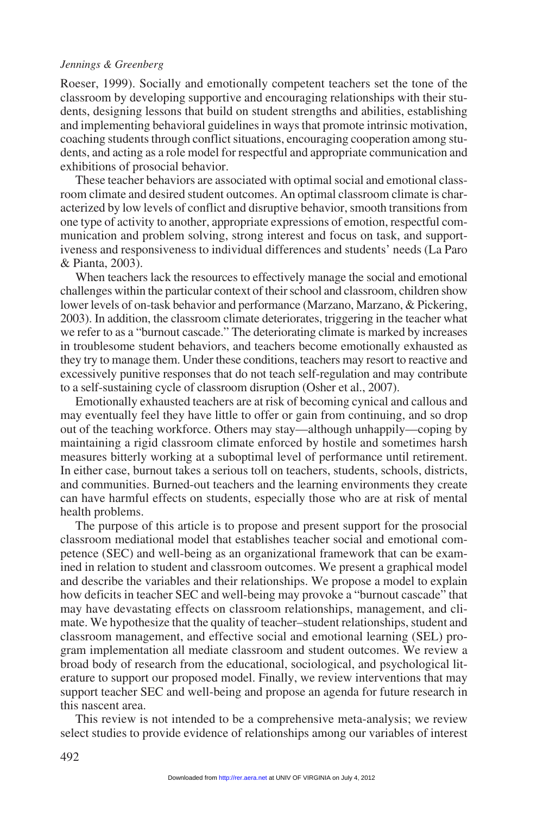Roeser, 1999). Socially and emotionally competent teachers set the tone of the classroom by developing supportive and encouraging relationships with their students, designing lessons that build on student strengths and abilities, establishing and implementing behavioral guidelines in ways that promote intrinsic motivation, coaching students through conflict situations, encouraging cooperation among students, and acting as a role model for respectful and appropriate communication and exhibitions of prosocial behavior.

These teacher behaviors are associated with optimal social and emotional classroom climate and desired student outcomes. An optimal classroom climate is characterized by low levels of conflict and disruptive behavior, smooth transitions from one type of activity to another, appropriate expressions of emotion, respectful communication and problem solving, strong interest and focus on task, and supportiveness and responsiveness to individual differences and students' needs (La Paro & Pianta, 2003).

When teachers lack the resources to effectively manage the social and emotional challenges within the particular context of their school and classroom, children show lower levels of on-task behavior and performance (Marzano, Marzano, & Pickering, 2003). In addition, the classroom climate deteriorates, triggering in the teacher what we refer to as a "burnout cascade." The deteriorating climate is marked by increases in troublesome student behaviors, and teachers become emotionally exhausted as they try to manage them. Under these conditions, teachers may resort to reactive and excessively punitive responses that do not teach self-regulation and may contribute to a self-sustaining cycle of classroom disruption (Osher et al., 2007).

Emotionally exhausted teachers are at risk of becoming cynical and callous and may eventually feel they have little to offer or gain from continuing, and so drop out of the teaching workforce. Others may stay—although unhappily—coping by maintaining a rigid classroom climate enforced by hostile and sometimes harsh measures bitterly working at a suboptimal level of performance until retirement. In either case, burnout takes a serious toll on teachers, students, schools, districts, and communities. Burned-out teachers and the learning environments they create can have harmful effects on students, especially those who are at risk of mental health problems.

The purpose of this article is to propose and present support for the prosocial classroom mediational model that establishes teacher social and emotional competence (SEC) and well-being as an organizational framework that can be examined in relation to student and classroom outcomes. We present a graphical model and describe the variables and their relationships. We propose a model to explain how deficits in teacher SEC and well-being may provoke a "burnout cascade" that may have devastating effects on classroom relationships, management, and climate. We hypothesize that the quality of teacher–student relationships, student and classroom management, and effective social and emotional learning (SEL) program implementation all mediate classroom and student outcomes. We review a broad body of research from the educational, sociological, and psychological literature to support our proposed model. Finally, we review interventions that may support teacher SEC and well-being and propose an agenda for future research in this nascent area.

This review is not intended to be a comprehensive meta-analysis; we review select studies to provide evidence of relationships among our variables of interest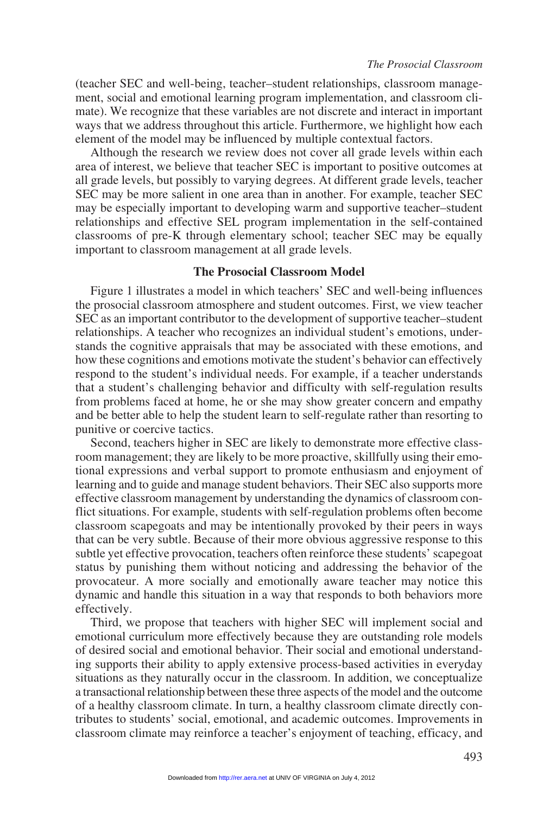(teacher SEC and well-being, teacher–student relationships, classroom management, social and emotional learning program implementation, and classroom climate). We recognize that these variables are not discrete and interact in important ways that we address throughout this article. Furthermore, we highlight how each element of the model may be influenced by multiple contextual factors.

Although the research we review does not cover all grade levels within each area of interest, we believe that teacher SEC is important to positive outcomes at all grade levels, but possibly to varying degrees. At different grade levels, teacher SEC may be more salient in one area than in another. For example, teacher SEC may be especially important to developing warm and supportive teacher–student relationships and effective SEL program implementation in the self-contained classrooms of pre-K through elementary school; teacher SEC may be equally important to classroom management at all grade levels.

# **The Prosocial Classroom Model**

Figure 1 illustrates a model in which teachers' SEC and well-being influences the prosocial classroom atmosphere and student outcomes. First, we view teacher SEC as an important contributor to the development of supportive teacher–student relationships. A teacher who recognizes an individual student's emotions, understands the cognitive appraisals that may be associated with these emotions, and how these cognitions and emotions motivate the student's behavior can effectively respond to the student's individual needs. For example, if a teacher understands that a student's challenging behavior and difficulty with self-regulation results from problems faced at home, he or she may show greater concern and empathy and be better able to help the student learn to self-regulate rather than resorting to punitive or coercive tactics.

Second, teachers higher in SEC are likely to demonstrate more effective classroom management; they are likely to be more proactive, skillfully using their emotional expressions and verbal support to promote enthusiasm and enjoyment of learning and to guide and manage student behaviors. Their SEC also supports more effective classroom management by understanding the dynamics of classroom conflict situations. For example, students with self-regulation problems often become classroom scapegoats and may be intentionally provoked by their peers in ways that can be very subtle. Because of their more obvious aggressive response to this subtle yet effective provocation, teachers often reinforce these students' scapegoat status by punishing them without noticing and addressing the behavior of the provocateur. A more socially and emotionally aware teacher may notice this dynamic and handle this situation in a way that responds to both behaviors more effectively.

Third, we propose that teachers with higher SEC will implement social and emotional curriculum more effectively because they are outstanding role models of desired social and emotional behavior. Their social and emotional understanding supports their ability to apply extensive process-based activities in everyday situations as they naturally occur in the classroom. In addition, we conceptualize a transactional relationship between these three aspects of the model and the outcome of a healthy classroom climate. In turn, a healthy classroom climate directly contributes to students' social, emotional, and academic outcomes. Improvements in classroom climate may reinforce a teacher's enjoyment of teaching, efficacy, and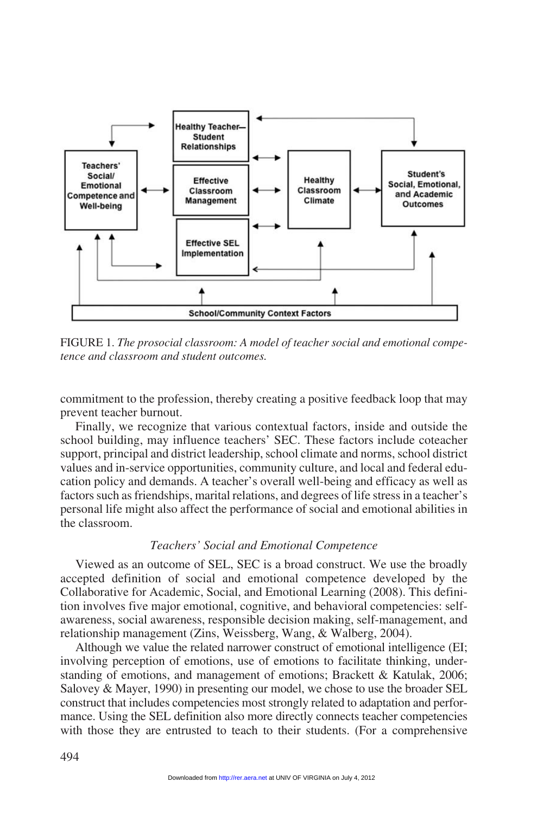

FIGURE 1. *The prosocial classroom: A model of teacher social and emotional competence and classroom and student outcomes.*

commitment to the profession, thereby creating a positive feedback loop that may prevent teacher burnout.

Finally, we recognize that various contextual factors, inside and outside the school building, may influence teachers' SEC. These factors include coteacher support, principal and district leadership, school climate and norms, school district values and in-service opportunities, community culture, and local and federal education policy and demands. A teacher's overall well-being and efficacy as well as factors such as friendships, marital relations, and degrees of life stress in a teacher's personal life might also affect the performance of social and emotional abilities in the classroom.

# *Teachers' Social and Emotional Competence*

Viewed as an outcome of SEL, SEC is a broad construct. We use the broadly accepted definition of social and emotional competence developed by the Collaborative for Academic, Social, and Emotional Learning (2008). This definition involves five major emotional, cognitive, and behavioral competencies: selfawareness, social awareness, responsible decision making, self-management, and relationship management (Zins, Weissberg, Wang, & Walberg, 2004).

Although we value the related narrower construct of emotional intelligence (EI; involving perception of emotions, use of emotions to facilitate thinking, understanding of emotions, and management of emotions; Brackett & Katulak, 2006; Salovey & Mayer, 1990) in presenting our model, we chose to use the broader SEL construct that includes competencies most strongly related to adaptation and performance. Using the SEL definition also more directly connects teacher competencies with those they are entrusted to teach to their students. (For a comprehensive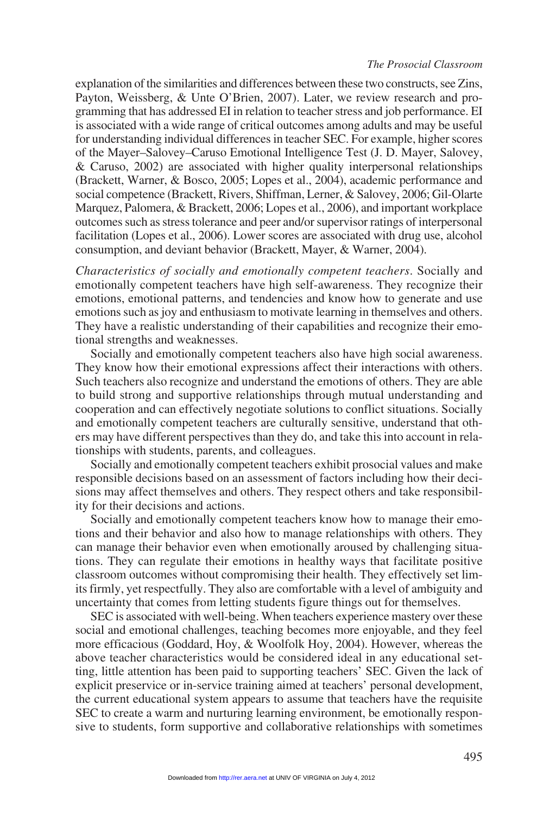explanation of the similarities and differences between these two constructs, see Zins, Payton, Weissberg, & Unte O'Brien, 2007). Later, we review research and programming that has addressed EI in relation to teacher stress and job performance. EI is associated with a wide range of critical outcomes among adults and may be useful for understanding individual differences in teacher SEC. For example, higher scores of the Mayer–Salovey–Caruso Emotional Intelligence Test (J. D. Mayer, Salovey, & Caruso, 2002) are associated with higher quality interpersonal relationships (Brackett, Warner, & Bosco, 2005; Lopes et al., 2004), academic performance and social competence (Brackett, Rivers, Shiffman, Lerner, & Salovey, 2006; Gil-Olarte Marquez, Palomera, & Brackett, 2006; Lopes et al., 2006), and important workplace outcomes such as stress tolerance and peer and/or supervisor ratings of interpersonal facilitation (Lopes et al., 2006). Lower scores are associated with drug use, alcohol consumption, and deviant behavior (Brackett, Mayer, & Warner, 2004).

*Characteristics of socially and emotionally competent teachers*. Socially and emotionally competent teachers have high self-awareness. They recognize their emotions, emotional patterns, and tendencies and know how to generate and use emotions such as joy and enthusiasm to motivate learning in themselves and others. They have a realistic understanding of their capabilities and recognize their emotional strengths and weaknesses.

Socially and emotionally competent teachers also have high social awareness. They know how their emotional expressions affect their interactions with others. Such teachers also recognize and understand the emotions of others. They are able to build strong and supportive relationships through mutual understanding and cooperation and can effectively negotiate solutions to conflict situations. Socially and emotionally competent teachers are culturally sensitive, understand that others may have different perspectives than they do, and take this into account in relationships with students, parents, and colleagues.

Socially and emotionally competent teachers exhibit prosocial values and make responsible decisions based on an assessment of factors including how their decisions may affect themselves and others. They respect others and take responsibility for their decisions and actions.

Socially and emotionally competent teachers know how to manage their emotions and their behavior and also how to manage relationships with others. They can manage their behavior even when emotionally aroused by challenging situations. They can regulate their emotions in healthy ways that facilitate positive classroom outcomes without compromising their health. They effectively set limits firmly, yet respectfully. They also are comfortable with a level of ambiguity and uncertainty that comes from letting students figure things out for themselves.

SEC is associated with well-being. When teachers experience mastery over these social and emotional challenges, teaching becomes more enjoyable, and they feel more efficacious (Goddard, Hoy, & Woolfolk Hoy, 2004). However, whereas the above teacher characteristics would be considered ideal in any educational setting, little attention has been paid to supporting teachers' SEC. Given the lack of explicit preservice or in-service training aimed at teachers' personal development, the current educational system appears to assume that teachers have the requisite SEC to create a warm and nurturing learning environment, be emotionally responsive to students, form supportive and collaborative relationships with sometimes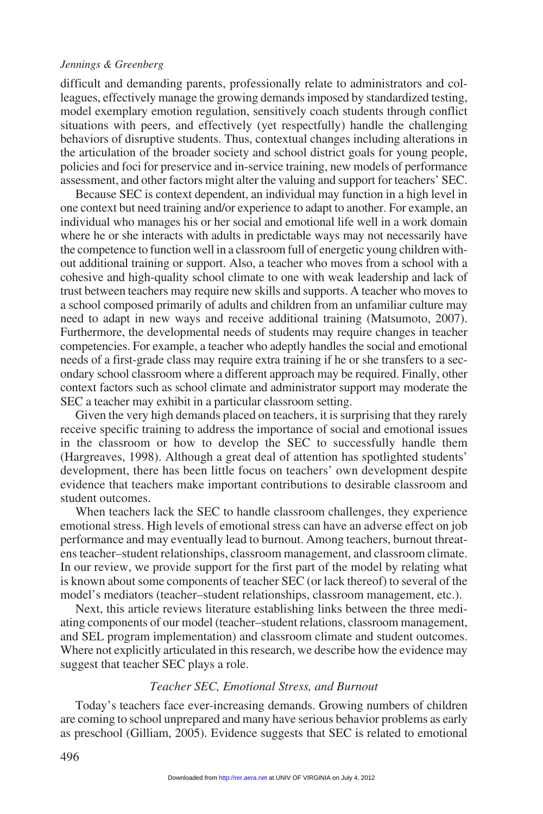difficult and demanding parents, professionally relate to administrators and colleagues, effectively manage the growing demands imposed by standardized testing, model exemplary emotion regulation, sensitively coach students through conflict situations with peers, and effectively (yet respectfully) handle the challenging behaviors of disruptive students. Thus, contextual changes including alterations in the articulation of the broader society and school district goals for young people, policies and foci for preservice and in-service training, new models of performance assessment, and other factors might alter the valuing and support for teachers' SEC.

Because SEC is context dependent, an individual may function in a high level in one context but need training and/or experience to adapt to another. For example, an individual who manages his or her social and emotional life well in a work domain where he or she interacts with adults in predictable ways may not necessarily have the competence to function well in a classroom full of energetic young children without additional training or support. Also, a teacher who moves from a school with a cohesive and high-quality school climate to one with weak leadership and lack of trust between teachers may require new skills and supports. A teacher who moves to a school composed primarily of adults and children from an unfamiliar culture may need to adapt in new ways and receive additional training (Matsumoto, 2007). Furthermore, the developmental needs of students may require changes in teacher competencies. For example, a teacher who adeptly handles the social and emotional needs of a first-grade class may require extra training if he or she transfers to a secondary school classroom where a different approach may be required. Finally, other context factors such as school climate and administrator support may moderate the SEC a teacher may exhibit in a particular classroom setting.

Given the very high demands placed on teachers, it is surprising that they rarely receive specific training to address the importance of social and emotional issues in the classroom or how to develop the SEC to successfully handle them (Hargreaves, 1998). Although a great deal of attention has spotlighted students' development, there has been little focus on teachers' own development despite evidence that teachers make important contributions to desirable classroom and student outcomes.

When teachers lack the SEC to handle classroom challenges, they experience emotional stress. High levels of emotional stress can have an adverse effect on job performance and may eventually lead to burnout. Among teachers, burnout threatens teacher–student relationships, classroom management, and classroom climate. In our review, we provide support for the first part of the model by relating what is known about some components of teacher SEC (or lack thereof) to several of the model's mediators (teacher–student relationships, classroom management, etc.).

Next, this article reviews literature establishing links between the three mediating components of our model (teacher–student relations, classroom management, and SEL program implementation) and classroom climate and student outcomes. Where not explicitly articulated in this research, we describe how the evidence may suggest that teacher SEC plays a role.

# *Teacher SEC, Emotional Stress, and Burnout*

Today's teachers face ever-increasing demands. Growing numbers of children are coming to school unprepared and many have serious behavior problems as early as preschool (Gilliam, 2005). Evidence suggests that SEC is related to emotional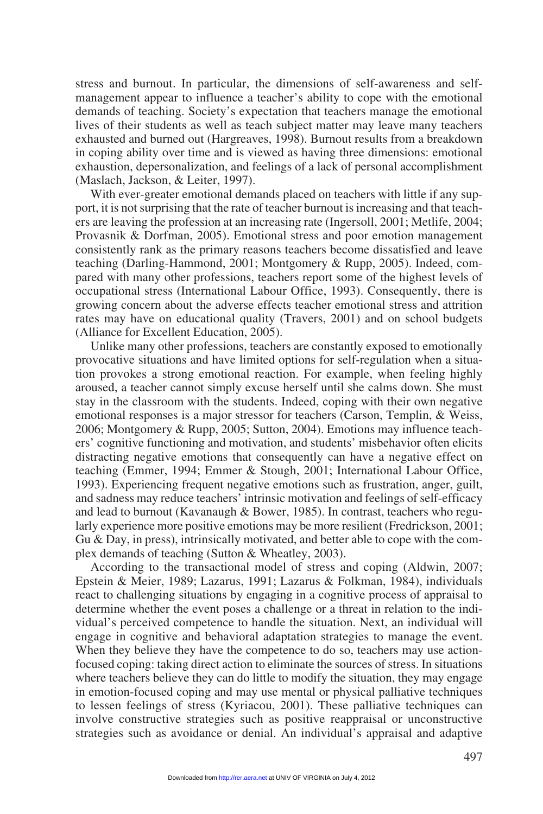stress and burnout. In particular, the dimensions of self-awareness and selfmanagement appear to influence a teacher's ability to cope with the emotional demands of teaching. Society's expectation that teachers manage the emotional lives of their students as well as teach subject matter may leave many teachers exhausted and burned out (Hargreaves, 1998). Burnout results from a breakdown in coping ability over time and is viewed as having three dimensions: emotional exhaustion, depersonalization, and feelings of a lack of personal accomplishment (Maslach, Jackson, & Leiter, 1997).

With ever-greater emotional demands placed on teachers with little if any support, it is not surprising that the rate of teacher burnout is increasing and that teachers are leaving the profession at an increasing rate (Ingersoll, 2001; Metlife, 2004; Provasnik & Dorfman, 2005). Emotional stress and poor emotion management consistently rank as the primary reasons teachers become dissatisfied and leave teaching (Darling-Hammond, 2001; Montgomery & Rupp, 2005). Indeed, compared with many other professions, teachers report some of the highest levels of occupational stress (International Labour Office, 1993). Consequently, there is growing concern about the adverse effects teacher emotional stress and attrition rates may have on educational quality (Travers, 2001) and on school budgets (Alliance for Excellent Education, 2005).

Unlike many other professions, teachers are constantly exposed to emotionally provocative situations and have limited options for self-regulation when a situation provokes a strong emotional reaction. For example, when feeling highly aroused, a teacher cannot simply excuse herself until she calms down. She must stay in the classroom with the students. Indeed, coping with their own negative emotional responses is a major stressor for teachers (Carson, Templin, & Weiss, 2006; Montgomery & Rupp, 2005; Sutton, 2004). Emotions may influence teachers' cognitive functioning and motivation, and students' misbehavior often elicits distracting negative emotions that consequently can have a negative effect on teaching (Emmer, 1994; Emmer & Stough, 2001; International Labour Office, 1993). Experiencing frequent negative emotions such as frustration, anger, guilt, and sadness may reduce teachers' intrinsic motivation and feelings of self-efficacy and lead to burnout (Kavanaugh & Bower, 1985). In contrast, teachers who regularly experience more positive emotions may be more resilient (Fredrickson, 2001; Gu & Day, in press), intrinsically motivated, and better able to cope with the complex demands of teaching (Sutton & Wheatley, 2003).

According to the transactional model of stress and coping (Aldwin, 2007; Epstein & Meier, 1989; Lazarus, 1991; Lazarus & Folkman, 1984), individuals react to challenging situations by engaging in a cognitive process of appraisal to determine whether the event poses a challenge or a threat in relation to the individual's perceived competence to handle the situation. Next, an individual will engage in cognitive and behavioral adaptation strategies to manage the event. When they believe they have the competence to do so, teachers may use actionfocused coping: taking direct action to eliminate the sources of stress. In situations where teachers believe they can do little to modify the situation, they may engage in emotion-focused coping and may use mental or physical palliative techniques to lessen feelings of stress (Kyriacou, 2001). These palliative techniques can involve constructive strategies such as positive reappraisal or unconstructive strategies such as avoidance or denial. An individual's appraisal and adaptive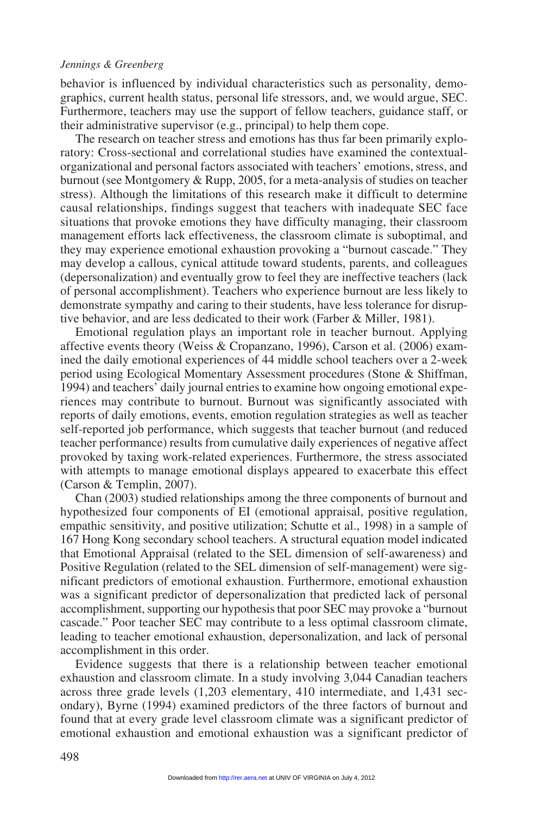behavior is influenced by individual characteristics such as personality, demographics, current health status, personal life stressors, and, we would argue, SEC. Furthermore, teachers may use the support of fellow teachers, guidance staff, or their administrative supervisor (e.g., principal) to help them cope.

The research on teacher stress and emotions has thus far been primarily exploratory: Cross-sectional and correlational studies have examined the contextualorganizational and personal factors associated with teachers' emotions, stress, and burnout (see Montgomery & Rupp, 2005, for a meta-analysis of studies on teacher stress). Although the limitations of this research make it difficult to determine causal relationships, findings suggest that teachers with inadequate SEC face situations that provoke emotions they have difficulty managing, their classroom management efforts lack effectiveness, the classroom climate is suboptimal, and they may experience emotional exhaustion provoking a "burnout cascade." They may develop a callous, cynical attitude toward students, parents, and colleagues (depersonalization) and eventually grow to feel they are ineffective teachers (lack of personal accomplishment). Teachers who experience burnout are less likely to demonstrate sympathy and caring to their students, have less tolerance for disruptive behavior, and are less dedicated to their work (Farber & Miller, 1981).

Emotional regulation plays an important role in teacher burnout. Applying affective events theory (Weiss & Cropanzano, 1996), Carson et al. (2006) examined the daily emotional experiences of 44 middle school teachers over a 2-week period using Ecological Momentary Assessment procedures (Stone & Shiffman, 1994) and teachers' daily journal entries to examine how ongoing emotional experiences may contribute to burnout. Burnout was significantly associated with reports of daily emotions, events, emotion regulation strategies as well as teacher self-reported job performance, which suggests that teacher burnout (and reduced teacher performance) results from cumulative daily experiences of negative affect provoked by taxing work-related experiences. Furthermore, the stress associated with attempts to manage emotional displays appeared to exacerbate this effect (Carson & Templin, 2007).

Chan (2003) studied relationships among the three components of burnout and hypothesized four components of EI (emotional appraisal, positive regulation, empathic sensitivity, and positive utilization; Schutte et al., 1998) in a sample of 167 Hong Kong secondary school teachers. A structural equation model indicated that Emotional Appraisal (related to the SEL dimension of self-awareness) and Positive Regulation (related to the SEL dimension of self-management) were significant predictors of emotional exhaustion. Furthermore, emotional exhaustion was a significant predictor of depersonalization that predicted lack of personal accomplishment, supporting our hypothesis that poor SEC may provoke a "burnout cascade." Poor teacher SEC may contribute to a less optimal classroom climate, leading to teacher emotional exhaustion, depersonalization, and lack of personal accomplishment in this order.

Evidence suggests that there is a relationship between teacher emotional exhaustion and classroom climate. In a study involving 3,044 Canadian teachers across three grade levels (1,203 elementary, 410 intermediate, and 1,431 secondary), Byrne (1994) examined predictors of the three factors of burnout and found that at every grade level classroom climate was a significant predictor of emotional exhaustion and emotional exhaustion was a significant predictor of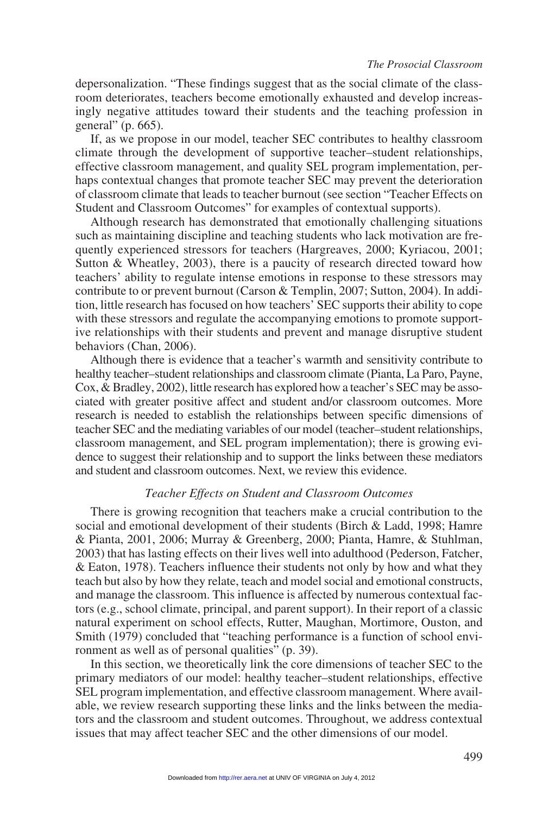depersonalization. "These findings suggest that as the social climate of the classroom deteriorates, teachers become emotionally exhausted and develop increasingly negative attitudes toward their students and the teaching profession in general" (p. 665).

If, as we propose in our model, teacher SEC contributes to healthy classroom climate through the development of supportive teacher–student relationships, effective classroom management, and quality SEL program implementation, perhaps contextual changes that promote teacher SEC may prevent the deterioration of classroom climate that leads to teacher burnout (see section "Teacher Effects on Student and Classroom Outcomes" for examples of contextual supports).

Although research has demonstrated that emotionally challenging situations such as maintaining discipline and teaching students who lack motivation are frequently experienced stressors for teachers (Hargreaves, 2000; Kyriacou, 2001; Sutton & Wheatley, 2003), there is a paucity of research directed toward how teachers' ability to regulate intense emotions in response to these stressors may contribute to or prevent burnout (Carson & Templin, 2007; Sutton, 2004). In addition, little research has focused on how teachers' SEC supports their ability to cope with these stressors and regulate the accompanying emotions to promote supportive relationships with their students and prevent and manage disruptive student behaviors (Chan, 2006).

Although there is evidence that a teacher's warmth and sensitivity contribute to healthy teacher–student relationships and classroom climate (Pianta, La Paro, Payne, Cox, & Bradley, 2002), little research has explored how a teacher's SEC may be associated with greater positive affect and student and/or classroom outcomes. More research is needed to establish the relationships between specific dimensions of teacher SEC and the mediating variables of our model (teacher–student relationships, classroom management, and SEL program implementation); there is growing evidence to suggest their relationship and to support the links between these mediators and student and classroom outcomes. Next, we review this evidence.

### *Teacher Effects on Student and Classroom Outcomes*

There is growing recognition that teachers make a crucial contribution to the social and emotional development of their students (Birch & Ladd, 1998; Hamre & Pianta, 2001, 2006; Murray & Greenberg, 2000; Pianta, Hamre, & Stuhlman, 2003) that has lasting effects on their lives well into adulthood (Pederson, Fatcher, & Eaton, 1978). Teachers influence their students not only by how and what they teach but also by how they relate, teach and model social and emotional constructs, and manage the classroom. This influence is affected by numerous contextual factors (e.g., school climate, principal, and parent support). In their report of a classic natural experiment on school effects, Rutter, Maughan, Mortimore, Ouston, and Smith (1979) concluded that "teaching performance is a function of school environment as well as of personal qualities" (p. 39).

In this section, we theoretically link the core dimensions of teacher SEC to the primary mediators of our model: healthy teacher–student relationships, effective SEL program implementation, and effective classroom management. Where available, we review research supporting these links and the links between the mediators and the classroom and student outcomes. Throughout, we address contextual issues that may affect teacher SEC and the other dimensions of our model.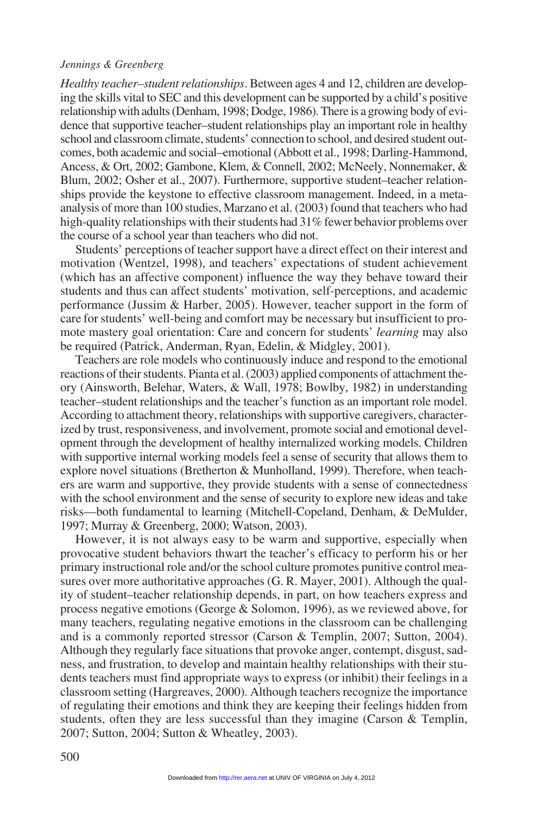*Healthy teacher–student relationships*. Between ages 4 and 12, children are developing the skills vital to SEC and this development can be supported by a child's positive relationship with adults (Denham, 1998; Dodge, 1986). There is a growing body of evidence that supportive teacher–student relationships play an important role in healthy school and classroom climate, students' connection to school, and desired student outcomes, both academic and social–emotional (Abbott et al., 1998; Darling-Hammond, Ancess, & Ort, 2002; Gambone, Klem, & Connell, 2002; McNeely, Nonnemaker, & Blum, 2002; Osher et al., 2007). Furthermore, supportive student–teacher relationships provide the keystone to effective classroom management. Indeed, in a metaanalysis of more than 100 studies, Marzano et al. (2003) found that teachers who had high-quality relationships with their students had 31% fewer behavior problems over the course of a school year than teachers who did not.

Students' perceptions of teacher support have a direct effect on their interest and motivation (Wentzel, 1998), and teachers' expectations of student achievement (which has an affective component) influence the way they behave toward their students and thus can affect students' motivation, self-perceptions, and academic performance (Jussim & Harber, 2005). However, teacher support in the form of care for students' well-being and comfort may be necessary but insufficient to promote mastery goal orientation: Care and concern for students' *learning* may also be required (Patrick, Anderman, Ryan, Edelin, & Midgley, 2001).

Teachers are role models who continuously induce and respond to the emotional reactions of their students. Pianta et al. (2003) applied components of attachment theory (Ainsworth, Belehar, Waters, & Wall, 1978; Bowlby, 1982) in understanding teacher–student relationships and the teacher's function as an important role model. According to attachment theory, relationships with supportive caregivers, characterized by trust, responsiveness, and involvement, promote social and emotional development through the development of healthy internalized working models. Children with supportive internal working models feel a sense of security that allows them to explore novel situations (Bretherton & Munholland, 1999). Therefore, when teachers are warm and supportive, they provide students with a sense of connectedness with the school environment and the sense of security to explore new ideas and take risks—both fundamental to learning (Mitchell-Copeland, Denham, & DeMulder, 1997; Murray & Greenberg, 2000; Watson, 2003).

However, it is not always easy to be warm and supportive, especially when provocative student behaviors thwart the teacher's efficacy to perform his or her primary instructional role and/or the school culture promotes punitive control measures over more authoritative approaches (G. R. Mayer, 2001). Although the quality of student–teacher relationship depends, in part, on how teachers express and process negative emotions (George & Solomon, 1996), as we reviewed above, for many teachers, regulating negative emotions in the classroom can be challenging and is a commonly reported stressor (Carson & Templin, 2007; Sutton, 2004). Although they regularly face situations that provoke anger, contempt, disgust, sadness, and frustration, to develop and maintain healthy relationships with their students teachers must find appropriate ways to express (or inhibit) their feelings in a classroom setting (Hargreaves, 2000). Although teachers recognize the importance of regulating their emotions and think they are keeping their feelings hidden from students, often they are less successful than they imagine (Carson & Templin, 2007; Sutton, 2004; Sutton & Wheatley, 2003).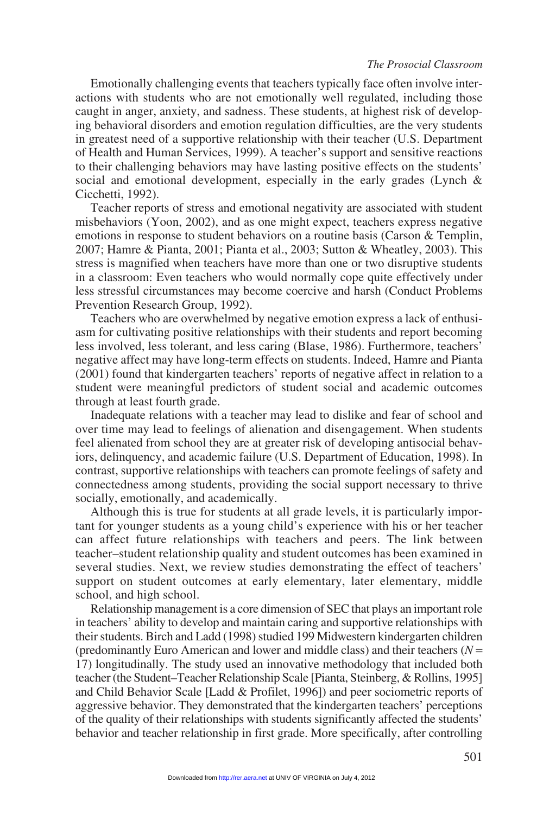Emotionally challenging events that teachers typically face often involve interactions with students who are not emotionally well regulated, including those caught in anger, anxiety, and sadness. These students, at highest risk of developing behavioral disorders and emotion regulation difficulties, are the very students in greatest need of a supportive relationship with their teacher (U.S. Department of Health and Human Services, 1999). A teacher's support and sensitive reactions to their challenging behaviors may have lasting positive effects on the students' social and emotional development, especially in the early grades (Lynch & Cicchetti, 1992).

Teacher reports of stress and emotional negativity are associated with student misbehaviors (Yoon, 2002), and as one might expect, teachers express negative emotions in response to student behaviors on a routine basis (Carson & Templin, 2007; Hamre & Pianta, 2001; Pianta et al., 2003; Sutton & Wheatley, 2003). This stress is magnified when teachers have more than one or two disruptive students in a classroom: Even teachers who would normally cope quite effectively under less stressful circumstances may become coercive and harsh (Conduct Problems Prevention Research Group, 1992).

Teachers who are overwhelmed by negative emotion express a lack of enthusiasm for cultivating positive relationships with their students and report becoming less involved, less tolerant, and less caring (Blase, 1986). Furthermore, teachers' negative affect may have long-term effects on students. Indeed, Hamre and Pianta (2001) found that kindergarten teachers' reports of negative affect in relation to a student were meaningful predictors of student social and academic outcomes through at least fourth grade.

Inadequate relations with a teacher may lead to dislike and fear of school and over time may lead to feelings of alienation and disengagement. When students feel alienated from school they are at greater risk of developing antisocial behaviors, delinquency, and academic failure (U.S. Department of Education, 1998). In contrast, supportive relationships with teachers can promote feelings of safety and connectedness among students, providing the social support necessary to thrive socially, emotionally, and academically.

Although this is true for students at all grade levels, it is particularly important for younger students as a young child's experience with his or her teacher can affect future relationships with teachers and peers. The link between teacher–student relationship quality and student outcomes has been examined in several studies. Next, we review studies demonstrating the effect of teachers' support on student outcomes at early elementary, later elementary, middle school, and high school.

Relationship management is a core dimension of SEC that plays an important role in teachers' ability to develop and maintain caring and supportive relationships with their students. Birch and Ladd (1998) studied 199 Midwestern kindergarten children (predominantly Euro American and lower and middle class) and their teachers (*N* = 17) longitudinally. The study used an innovative methodology that included both teacher (the Student–Teacher Relationship Scale [Pianta, Steinberg, & Rollins, 1995] and Child Behavior Scale [Ladd & Profilet, 1996]) and peer sociometric reports of aggressive behavior. They demonstrated that the kindergarten teachers' perceptions of the quality of their relationships with students significantly affected the students' behavior and teacher relationship in first grade. More specifically, after controlling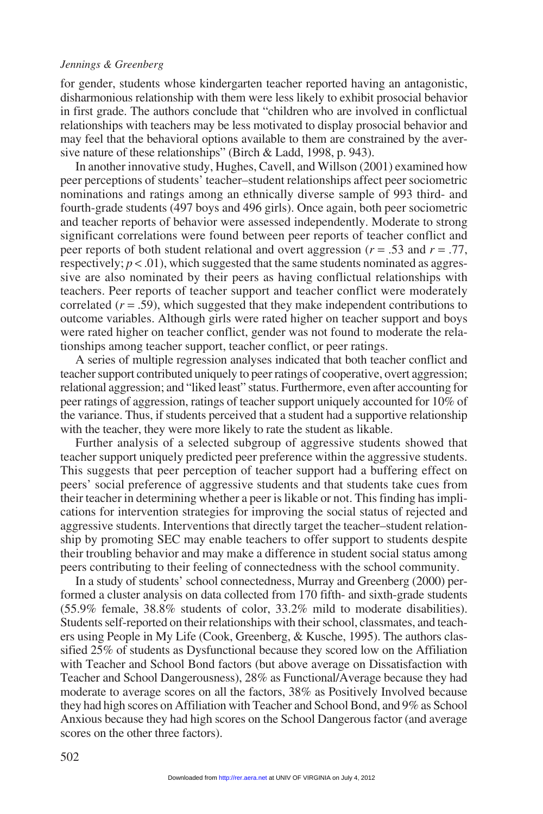for gender, students whose kindergarten teacher reported having an antagonistic, disharmonious relationship with them were less likely to exhibit prosocial behavior in first grade. The authors conclude that "children who are involved in conflictual relationships with teachers may be less motivated to display prosocial behavior and may feel that the behavioral options available to them are constrained by the aversive nature of these relationships" (Birch & Ladd, 1998, p. 943).

In another innovative study, Hughes, Cavell, and Willson (2001) examined how peer perceptions of students' teacher–student relationships affect peer sociometric nominations and ratings among an ethnically diverse sample of 993 third- and fourth-grade students (497 boys and 496 girls). Once again, both peer sociometric and teacher reports of behavior were assessed independently. Moderate to strong significant correlations were found between peer reports of teacher conflict and peer reports of both student relational and overt aggression (*r* = .53 and *r* = .77, respectively;  $p < .01$ ), which suggested that the same students nominated as aggressive are also nominated by their peers as having conflictual relationships with teachers. Peer reports of teacher support and teacher conflict were moderately correlated  $(r = .59)$ , which suggested that they make independent contributions to outcome variables. Although girls were rated higher on teacher support and boys were rated higher on teacher conflict, gender was not found to moderate the relationships among teacher support, teacher conflict, or peer ratings.

A series of multiple regression analyses indicated that both teacher conflict and teacher support contributed uniquely to peer ratings of cooperative, overt aggression; relational aggression; and "liked least" status. Furthermore, even after accounting for peer ratings of aggression, ratings of teacher support uniquely accounted for 10% of the variance. Thus, if students perceived that a student had a supportive relationship with the teacher, they were more likely to rate the student as likable.

Further analysis of a selected subgroup of aggressive students showed that teacher support uniquely predicted peer preference within the aggressive students. This suggests that peer perception of teacher support had a buffering effect on peers' social preference of aggressive students and that students take cues from their teacher in determining whether a peer is likable or not. This finding has implications for intervention strategies for improving the social status of rejected and aggressive students. Interventions that directly target the teacher–student relationship by promoting SEC may enable teachers to offer support to students despite their troubling behavior and may make a difference in student social status among peers contributing to their feeling of connectedness with the school community.

In a study of students' school connectedness, Murray and Greenberg (2000) performed a cluster analysis on data collected from 170 fifth- and sixth-grade students (55.9% female, 38.8% students of color, 33.2% mild to moderate disabilities). Students self-reported on their relationships with their school, classmates, and teachers using People in My Life (Cook, Greenberg, & Kusche, 1995). The authors classified 25% of students as Dysfunctional because they scored low on the Affiliation with Teacher and School Bond factors (but above average on Dissatisfaction with Teacher and School Dangerousness), 28% as Functional/Average because they had moderate to average scores on all the factors, 38% as Positively Involved because they had high scores on Affiliation with Teacher and School Bond, and 9% as School Anxious because they had high scores on the School Dangerous factor (and average scores on the other three factors).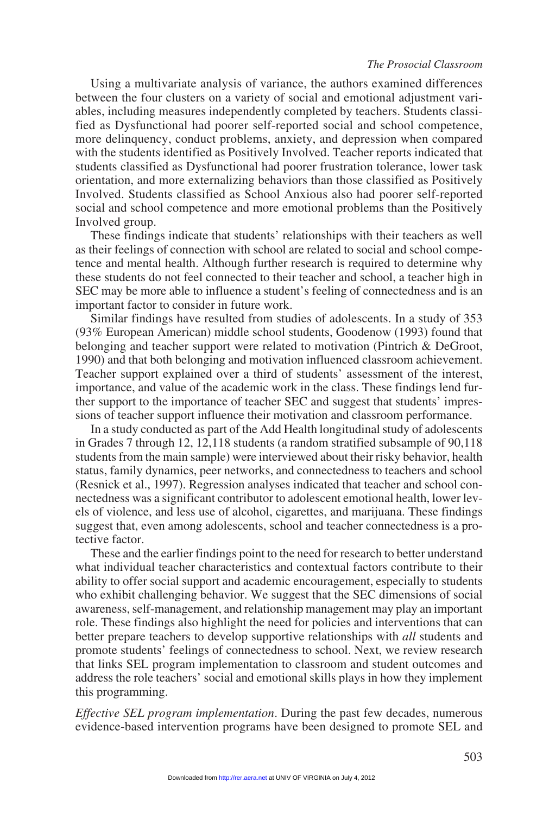Using a multivariate analysis of variance, the authors examined differences between the four clusters on a variety of social and emotional adjustment variables, including measures independently completed by teachers. Students classified as Dysfunctional had poorer self-reported social and school competence, more delinquency, conduct problems, anxiety, and depression when compared with the students identified as Positively Involved. Teacher reports indicated that students classified as Dysfunctional had poorer frustration tolerance, lower task orientation, and more externalizing behaviors than those classified as Positively Involved. Students classified as School Anxious also had poorer self-reported social and school competence and more emotional problems than the Positively Involved group.

These findings indicate that students' relationships with their teachers as well as their feelings of connection with school are related to social and school competence and mental health. Although further research is required to determine why these students do not feel connected to their teacher and school, a teacher high in SEC may be more able to influence a student's feeling of connectedness and is an important factor to consider in future work.

Similar findings have resulted from studies of adolescents. In a study of 353 (93% European American) middle school students, Goodenow (1993) found that belonging and teacher support were related to motivation (Pintrich & DeGroot, 1990) and that both belonging and motivation influenced classroom achievement. Teacher support explained over a third of students' assessment of the interest, importance, and value of the academic work in the class. These findings lend further support to the importance of teacher SEC and suggest that students' impressions of teacher support influence their motivation and classroom performance.

In a study conducted as part of the Add Health longitudinal study of adolescents in Grades 7 through 12, 12,118 students (a random stratified subsample of 90,118 students from the main sample) were interviewed about their risky behavior, health status, family dynamics, peer networks, and connectedness to teachers and school (Resnick et al., 1997). Regression analyses indicated that teacher and school connectedness was a significant contributor to adolescent emotional health, lower levels of violence, and less use of alcohol, cigarettes, and marijuana. These findings suggest that, even among adolescents, school and teacher connectedness is a protective factor.

These and the earlier findings point to the need for research to better understand what individual teacher characteristics and contextual factors contribute to their ability to offer social support and academic encouragement, especially to students who exhibit challenging behavior. We suggest that the SEC dimensions of social awareness, self-management, and relationship management may play an important role. These findings also highlight the need for policies and interventions that can better prepare teachers to develop supportive relationships with *all* students and promote students' feelings of connectedness to school. Next, we review research that links SEL program implementation to classroom and student outcomes and address the role teachers' social and emotional skills plays in how they implement this programming.

*Effective SEL program implementation*. During the past few decades, numerous evidence-based intervention programs have been designed to promote SEL and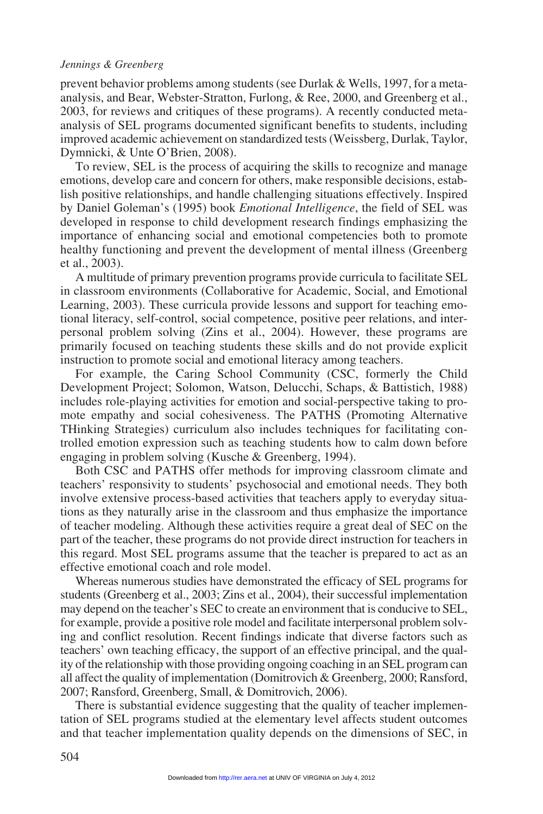prevent behavior problems among students (see Durlak & Wells, 1997, for a metaanalysis, and Bear, Webster-Stratton, Furlong, & Ree, 2000, and Greenberg et al., 2003, for reviews and critiques of these programs). A recently conducted metaanalysis of SEL programs documented significant benefits to students, including improved academic achievement on standardized tests (Weissberg, Durlak, Taylor, Dymnicki, & Unte O'Brien, 2008).

To review, SEL is the process of acquiring the skills to recognize and manage emotions, develop care and concern for others, make responsible decisions, establish positive relationships, and handle challenging situations effectively. Inspired by Daniel Goleman's (1995) book *Emotional Intelligence*, the field of SEL was developed in response to child development research findings emphasizing the importance of enhancing social and emotional competencies both to promote healthy functioning and prevent the development of mental illness (Greenberg et al., 2003).

A multitude of primary prevention programs provide curricula to facilitate SEL in classroom environments (Collaborative for Academic, Social, and Emotional Learning, 2003). These curricula provide lessons and support for teaching emotional literacy, self-control, social competence, positive peer relations, and interpersonal problem solving (Zins et al., 2004). However, these programs are primarily focused on teaching students these skills and do not provide explicit instruction to promote social and emotional literacy among teachers.

For example, the Caring School Community (CSC, formerly the Child Development Project; Solomon, Watson, Delucchi, Schaps, & Battistich, 1988) includes role-playing activities for emotion and social-perspective taking to promote empathy and social cohesiveness. The PATHS (Promoting Alternative THinking Strategies) curriculum also includes techniques for facilitating controlled emotion expression such as teaching students how to calm down before engaging in problem solving (Kusche & Greenberg, 1994).

Both CSC and PATHS offer methods for improving classroom climate and teachers' responsivity to students' psychosocial and emotional needs. They both involve extensive process-based activities that teachers apply to everyday situations as they naturally arise in the classroom and thus emphasize the importance of teacher modeling. Although these activities require a great deal of SEC on the part of the teacher, these programs do not provide direct instruction for teachers in this regard. Most SEL programs assume that the teacher is prepared to act as an effective emotional coach and role model.

Whereas numerous studies have demonstrated the efficacy of SEL programs for students (Greenberg et al., 2003; Zins et al., 2004), their successful implementation may depend on the teacher's SEC to create an environment that is conducive to SEL, for example, provide a positive role model and facilitate interpersonal problem solving and conflict resolution. Recent findings indicate that diverse factors such as teachers' own teaching efficacy, the support of an effective principal, and the quality of the relationship with those providing ongoing coaching in an SEL program can all affect the quality of implementation (Domitrovich & Greenberg, 2000; Ransford, 2007; Ransford, Greenberg, Small, & Domitrovich, 2006).

There is substantial evidence suggesting that the quality of teacher implementation of SEL programs studied at the elementary level affects student outcomes and that teacher implementation quality depends on the dimensions of SEC, in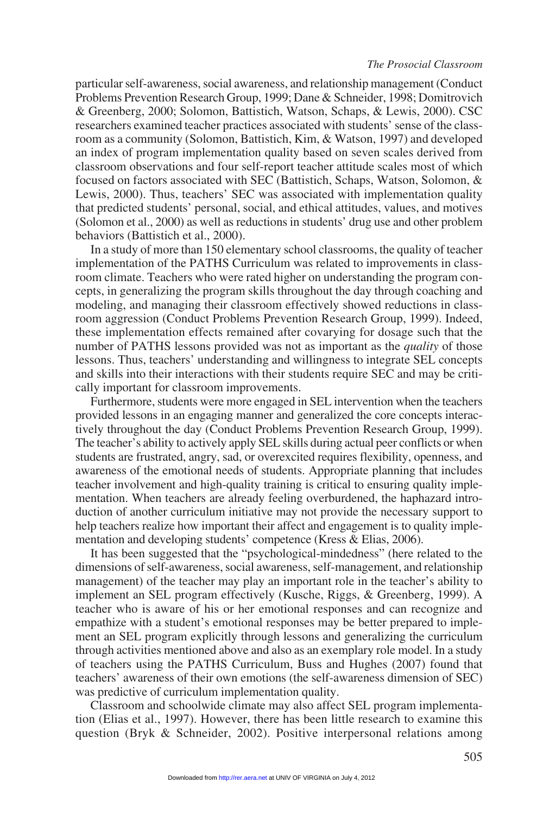particular self-awareness, social awareness, and relationship management (Conduct Problems Prevention Research Group, 1999; Dane & Schneider, 1998; Domitrovich & Greenberg, 2000; Solomon, Battistich, Watson, Schaps, & Lewis, 2000). CSC researchers examined teacher practices associated with students' sense of the classroom as a community (Solomon, Battistich, Kim, & Watson, 1997) and developed an index of program implementation quality based on seven scales derived from classroom observations and four self-report teacher attitude scales most of which focused on factors associated with SEC (Battistich, Schaps, Watson, Solomon, & Lewis, 2000). Thus, teachers' SEC was associated with implementation quality that predicted students' personal, social, and ethical attitudes, values, and motives (Solomon et al., 2000) as well as reductions in students' drug use and other problem behaviors (Battistich et al., 2000).

In a study of more than 150 elementary school classrooms, the quality of teacher implementation of the PATHS Curriculum was related to improvements in classroom climate. Teachers who were rated higher on understanding the program concepts, in generalizing the program skills throughout the day through coaching and modeling, and managing their classroom effectively showed reductions in classroom aggression (Conduct Problems Prevention Research Group, 1999). Indeed, these implementation effects remained after covarying for dosage such that the number of PATHS lessons provided was not as important as the *quality* of those lessons. Thus, teachers' understanding and willingness to integrate SEL concepts and skills into their interactions with their students require SEC and may be critically important for classroom improvements.

Furthermore, students were more engaged in SEL intervention when the teachers provided lessons in an engaging manner and generalized the core concepts interactively throughout the day (Conduct Problems Prevention Research Group, 1999). The teacher's ability to actively apply SEL skills during actual peer conflicts or when students are frustrated, angry, sad, or overexcited requires flexibility, openness, and awareness of the emotional needs of students. Appropriate planning that includes teacher involvement and high-quality training is critical to ensuring quality implementation. When teachers are already feeling overburdened, the haphazard introduction of another curriculum initiative may not provide the necessary support to help teachers realize how important their affect and engagement is to quality implementation and developing students' competence (Kress & Elias, 2006).

It has been suggested that the "psychological-mindedness" (here related to the dimensions of self-awareness, social awareness, self-management, and relationship management) of the teacher may play an important role in the teacher's ability to implement an SEL program effectively (Kusche, Riggs, & Greenberg, 1999). A teacher who is aware of his or her emotional responses and can recognize and empathize with a student's emotional responses may be better prepared to implement an SEL program explicitly through lessons and generalizing the curriculum through activities mentioned above and also as an exemplary role model. In a study of teachers using the PATHS Curriculum, Buss and Hughes (2007) found that teachers' awareness of their own emotions (the self-awareness dimension of SEC) was predictive of curriculum implementation quality.

Classroom and schoolwide climate may also affect SEL program implementation (Elias et al., 1997). However, there has been little research to examine this question (Bryk & Schneider, 2002). Positive interpersonal relations among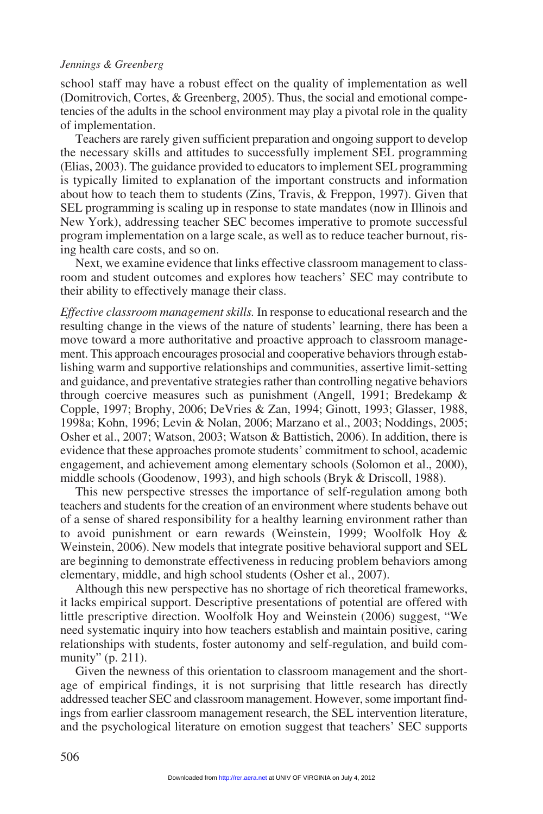school staff may have a robust effect on the quality of implementation as well (Domitrovich, Cortes, & Greenberg, 2005). Thus, the social and emotional competencies of the adults in the school environment may play a pivotal role in the quality of implementation.

Teachers are rarely given sufficient preparation and ongoing support to develop the necessary skills and attitudes to successfully implement SEL programming (Elias, 2003). The guidance provided to educators to implement SEL programming is typically limited to explanation of the important constructs and information about how to teach them to students (Zins, Travis, & Freppon, 1997). Given that SEL programming is scaling up in response to state mandates (now in Illinois and New York), addressing teacher SEC becomes imperative to promote successful program implementation on a large scale, as well as to reduce teacher burnout, rising health care costs, and so on.

Next, we examine evidence that links effective classroom management to classroom and student outcomes and explores how teachers' SEC may contribute to their ability to effectively manage their class.

*Effective classroom management skills.* In response to educational research and the resulting change in the views of the nature of students' learning, there has been a move toward a more authoritative and proactive approach to classroom management. This approach encourages prosocial and cooperative behaviors through establishing warm and supportive relationships and communities, assertive limit-setting and guidance, and preventative strategies rather than controlling negative behaviors through coercive measures such as punishment (Angell, 1991; Bredekamp & Copple, 1997; Brophy, 2006; DeVries & Zan, 1994; Ginott, 1993; Glasser, 1988, 1998a; Kohn, 1996; Levin & Nolan, 2006; Marzano et al., 2003; Noddings, 2005; Osher et al., 2007; Watson, 2003; Watson & Battistich, 2006). In addition, there is evidence that these approaches promote students' commitment to school, academic engagement, and achievement among elementary schools (Solomon et al., 2000), middle schools (Goodenow, 1993), and high schools (Bryk & Driscoll, 1988).

This new perspective stresses the importance of self-regulation among both teachers and students for the creation of an environment where students behave out of a sense of shared responsibility for a healthy learning environment rather than to avoid punishment or earn rewards (Weinstein, 1999; Woolfolk Hoy & Weinstein, 2006). New models that integrate positive behavioral support and SEL are beginning to demonstrate effectiveness in reducing problem behaviors among elementary, middle, and high school students (Osher et al., 2007).

Although this new perspective has no shortage of rich theoretical frameworks, it lacks empirical support. Descriptive presentations of potential are offered with little prescriptive direction. Woolfolk Hoy and Weinstein (2006) suggest, "We need systematic inquiry into how teachers establish and maintain positive, caring relationships with students, foster autonomy and self-regulation, and build community" (p. 211).

Given the newness of this orientation to classroom management and the shortage of empirical findings, it is not surprising that little research has directly addressed teacher SEC and classroom management. However, some important findings from earlier classroom management research, the SEL intervention literature, and the psychological literature on emotion suggest that teachers' SEC supports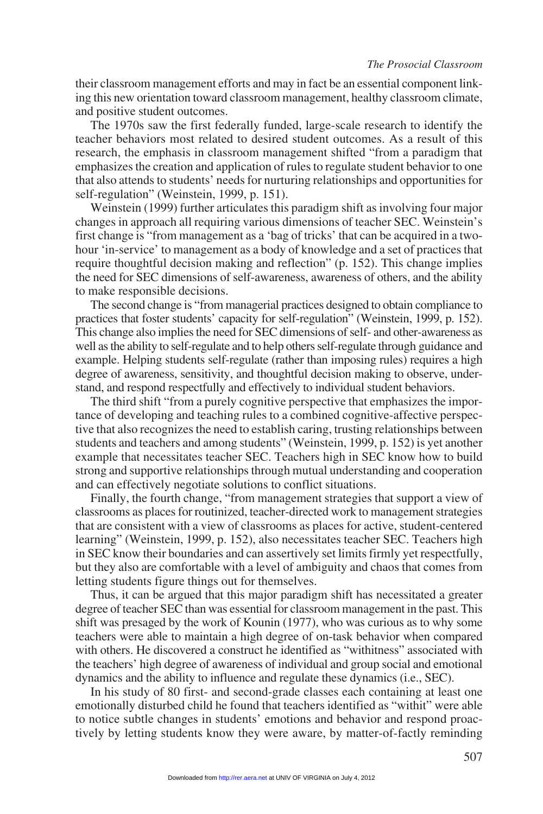their classroom management efforts and may in fact be an essential component linking this new orientation toward classroom management, healthy classroom climate, and positive student outcomes.

The 1970s saw the first federally funded, large-scale research to identify the teacher behaviors most related to desired student outcomes. As a result of this research, the emphasis in classroom management shifted "from a paradigm that emphasizes the creation and application of rules to regulate student behavior to one that also attends to students' needs for nurturing relationships and opportunities for self-regulation" (Weinstein, 1999, p. 151).

Weinstein (1999) further articulates this paradigm shift as involving four major changes in approach all requiring various dimensions of teacher SEC. Weinstein's first change is "from management as a 'bag of tricks' that can be acquired in a twohour 'in-service' to management as a body of knowledge and a set of practices that require thoughtful decision making and reflection" (p. 152). This change implies the need for SEC dimensions of self-awareness, awareness of others, and the ability to make responsible decisions.

The second change is "from managerial practices designed to obtain compliance to practices that foster students' capacity for self-regulation" (Weinstein, 1999, p. 152). This change also implies the need for SEC dimensions of self- and other-awareness as well as the ability to self-regulate and to help others self-regulate through guidance and example. Helping students self-regulate (rather than imposing rules) requires a high degree of awareness, sensitivity, and thoughtful decision making to observe, understand, and respond respectfully and effectively to individual student behaviors.

The third shift "from a purely cognitive perspective that emphasizes the importance of developing and teaching rules to a combined cognitive-affective perspective that also recognizes the need to establish caring, trusting relationships between students and teachers and among students" (Weinstein, 1999, p. 152) is yet another example that necessitates teacher SEC. Teachers high in SEC know how to build strong and supportive relationships through mutual understanding and cooperation and can effectively negotiate solutions to conflict situations.

Finally, the fourth change, "from management strategies that support a view of classrooms as places for routinized, teacher-directed work to management strategies that are consistent with a view of classrooms as places for active, student-centered learning" (Weinstein, 1999, p. 152), also necessitates teacher SEC. Teachers high in SEC know their boundaries and can assertively set limits firmly yet respectfully, but they also are comfortable with a level of ambiguity and chaos that comes from letting students figure things out for themselves.

Thus, it can be argued that this major paradigm shift has necessitated a greater degree of teacher SEC than was essential for classroom management in the past. This shift was presaged by the work of Kounin (1977), who was curious as to why some teachers were able to maintain a high degree of on-task behavior when compared with others. He discovered a construct he identified as "withitness" associated with the teachers' high degree of awareness of individual and group social and emotional dynamics and the ability to influence and regulate these dynamics (i.e., SEC).

In his study of 80 first- and second-grade classes each containing at least one emotionally disturbed child he found that teachers identified as "withit" were able to notice subtle changes in students' emotions and behavior and respond proactively by letting students know they were aware, by matter-of-factly reminding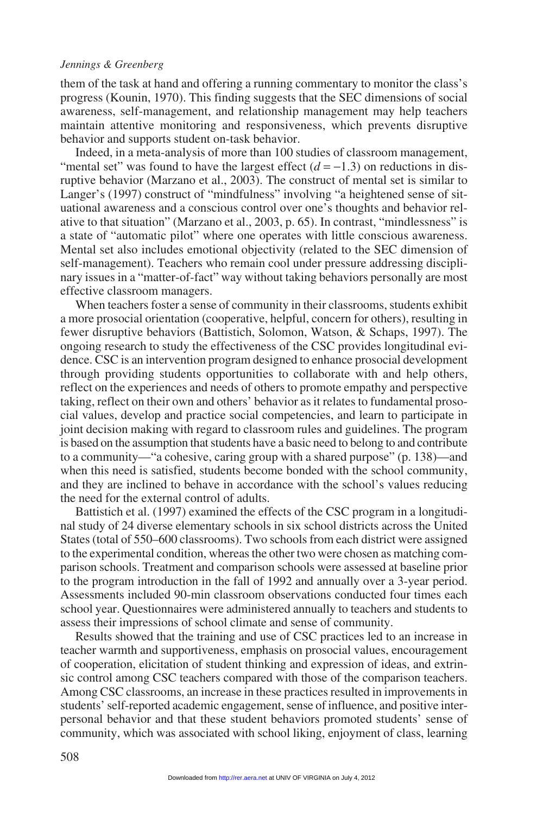them of the task at hand and offering a running commentary to monitor the class's progress (Kounin, 1970). This finding suggests that the SEC dimensions of social awareness, self-management, and relationship management may help teachers maintain attentive monitoring and responsiveness, which prevents disruptive behavior and supports student on-task behavior.

Indeed, in a meta-analysis of more than 100 studies of classroom management, "mental set" was found to have the largest effect  $(d = -1.3)$  on reductions in disruptive behavior (Marzano et al., 2003). The construct of mental set is similar to Langer's (1997) construct of "mindfulness" involving "a heightened sense of situational awareness and a conscious control over one's thoughts and behavior relative to that situation" (Marzano et al., 2003, p. 65). In contrast, "mindlessness" is a state of "automatic pilot" where one operates with little conscious awareness. Mental set also includes emotional objectivity (related to the SEC dimension of self-management). Teachers who remain cool under pressure addressing disciplinary issues in a "matter-of-fact" way without taking behaviors personally are most effective classroom managers.

When teachers foster a sense of community in their classrooms, students exhibit a more prosocial orientation (cooperative, helpful, concern for others), resulting in fewer disruptive behaviors (Battistich, Solomon, Watson, & Schaps, 1997). The ongoing research to study the effectiveness of the CSC provides longitudinal evidence. CSC is an intervention program designed to enhance prosocial development through providing students opportunities to collaborate with and help others, reflect on the experiences and needs of others to promote empathy and perspective taking, reflect on their own and others' behavior as it relates to fundamental prosocial values, develop and practice social competencies, and learn to participate in joint decision making with regard to classroom rules and guidelines. The program is based on the assumption that students have a basic need to belong to and contribute to a community—"a cohesive, caring group with a shared purpose" (p. 138)—and when this need is satisfied, students become bonded with the school community, and they are inclined to behave in accordance with the school's values reducing the need for the external control of adults.

Battistich et al. (1997) examined the effects of the CSC program in a longitudinal study of 24 diverse elementary schools in six school districts across the United States (total of 550–600 classrooms). Two schools from each district were assigned to the experimental condition, whereas the other two were chosen as matching comparison schools. Treatment and comparison schools were assessed at baseline prior to the program introduction in the fall of 1992 and annually over a 3-year period. Assessments included 90-min classroom observations conducted four times each school year. Questionnaires were administered annually to teachers and students to assess their impressions of school climate and sense of community.

Results showed that the training and use of CSC practices led to an increase in teacher warmth and supportiveness, emphasis on prosocial values, encouragement of cooperation, elicitation of student thinking and expression of ideas, and extrinsic control among CSC teachers compared with those of the comparison teachers. Among CSC classrooms, an increase in these practices resulted in improvements in students' self-reported academic engagement, sense of influence, and positive interpersonal behavior and that these student behaviors promoted students' sense of community, which was associated with school liking, enjoyment of class, learning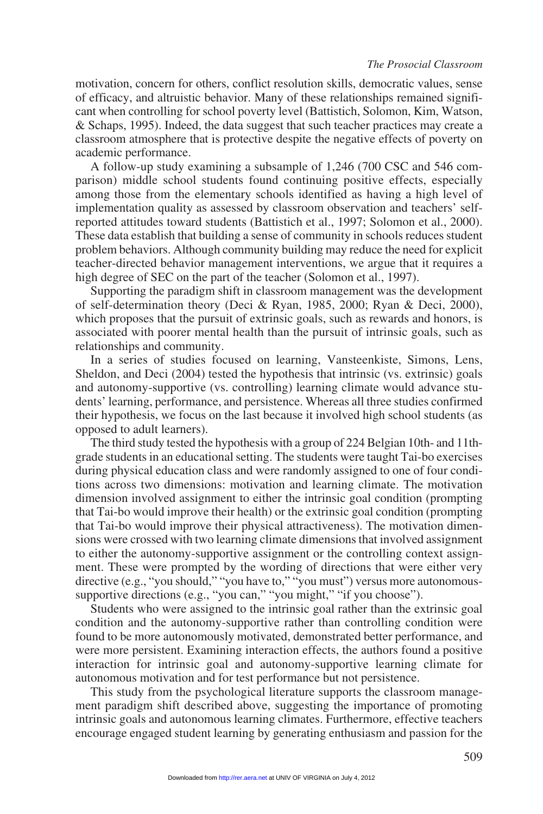motivation, concern for others, conflict resolution skills, democratic values, sense of efficacy, and altruistic behavior. Many of these relationships remained significant when controlling for school poverty level (Battistich, Solomon, Kim, Watson, & Schaps, 1995). Indeed, the data suggest that such teacher practices may create a classroom atmosphere that is protective despite the negative effects of poverty on academic performance.

A follow-up study examining a subsample of 1,246 (700 CSC and 546 comparison) middle school students found continuing positive effects, especially among those from the elementary schools identified as having a high level of implementation quality as assessed by classroom observation and teachers' selfreported attitudes toward students (Battistich et al., 1997; Solomon et al., 2000). These data establish that building a sense of community in schools reduces student problem behaviors. Although community building may reduce the need for explicit teacher-directed behavior management interventions, we argue that it requires a high degree of SEC on the part of the teacher (Solomon et al., 1997).

Supporting the paradigm shift in classroom management was the development of self-determination theory (Deci & Ryan, 1985, 2000; Ryan & Deci, 2000), which proposes that the pursuit of extrinsic goals, such as rewards and honors, is associated with poorer mental health than the pursuit of intrinsic goals, such as relationships and community.

In a series of studies focused on learning, Vansteenkiste, Simons, Lens, Sheldon, and Deci (2004) tested the hypothesis that intrinsic (vs. extrinsic) goals and autonomy-supportive (vs. controlling) learning climate would advance students' learning, performance, and persistence. Whereas all three studies confirmed their hypothesis, we focus on the last because it involved high school students (as opposed to adult learners).

The third study tested the hypothesis with a group of 224 Belgian 10th- and 11thgrade students in an educational setting. The students were taught Tai-bo exercises during physical education class and were randomly assigned to one of four conditions across two dimensions: motivation and learning climate. The motivation dimension involved assignment to either the intrinsic goal condition (prompting that Tai-bo would improve their health) or the extrinsic goal condition (prompting that Tai-bo would improve their physical attractiveness). The motivation dimensions were crossed with two learning climate dimensions that involved assignment to either the autonomy-supportive assignment or the controlling context assignment. These were prompted by the wording of directions that were either very directive (e.g., "you should," "you have to," "you must") versus more autonomoussupportive directions (e.g., "you can," "you might," "if you choose").

Students who were assigned to the intrinsic goal rather than the extrinsic goal condition and the autonomy-supportive rather than controlling condition were found to be more autonomously motivated, demonstrated better performance, and were more persistent. Examining interaction effects, the authors found a positive interaction for intrinsic goal and autonomy-supportive learning climate for autonomous motivation and for test performance but not persistence.

This study from the psychological literature supports the classroom management paradigm shift described above, suggesting the importance of promoting intrinsic goals and autonomous learning climates. Furthermore, effective teachers encourage engaged student learning by generating enthusiasm and passion for the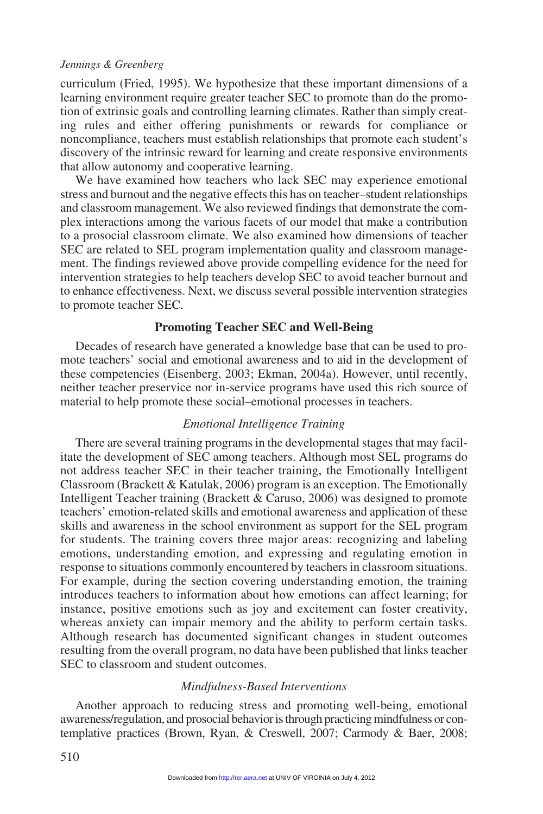curriculum (Fried, 1995). We hypothesize that these important dimensions of a learning environment require greater teacher SEC to promote than do the promotion of extrinsic goals and controlling learning climates. Rather than simply creating rules and either offering punishments or rewards for compliance or noncompliance, teachers must establish relationships that promote each student's discovery of the intrinsic reward for learning and create responsive environments that allow autonomy and cooperative learning.

We have examined how teachers who lack SEC may experience emotional stress and burnout and the negative effects this has on teacher–student relationships and classroom management. We also reviewed findings that demonstrate the complex interactions among the various facets of our model that make a contribution to a prosocial classroom climate. We also examined how dimensions of teacher SEC are related to SEL program implementation quality and classroom management. The findings reviewed above provide compelling evidence for the need for intervention strategies to help teachers develop SEC to avoid teacher burnout and to enhance effectiveness. Next, we discuss several possible intervention strategies to promote teacher SEC.

# **Promoting Teacher SEC and Well-Being**

Decades of research have generated a knowledge base that can be used to promote teachers' social and emotional awareness and to aid in the development of these competencies (Eisenberg, 2003; Ekman, 2004a). However, until recently, neither teacher preservice nor in-service programs have used this rich source of material to help promote these social–emotional processes in teachers.

# *Emotional Intelligence Training*

There are several training programs in the developmental stages that may facilitate the development of SEC among teachers. Although most SEL programs do not address teacher SEC in their teacher training, the Emotionally Intelligent Classroom (Brackett & Katulak, 2006) program is an exception. The Emotionally Intelligent Teacher training (Brackett & Caruso, 2006) was designed to promote teachers' emotion-related skills and emotional awareness and application of these skills and awareness in the school environment as support for the SEL program for students. The training covers three major areas: recognizing and labeling emotions, understanding emotion, and expressing and regulating emotion in response to situations commonly encountered by teachers in classroom situations. For example, during the section covering understanding emotion, the training introduces teachers to information about how emotions can affect learning; for instance, positive emotions such as joy and excitement can foster creativity, whereas anxiety can impair memory and the ability to perform certain tasks. Although research has documented significant changes in student outcomes resulting from the overall program, no data have been published that links teacher SEC to classroom and student outcomes.

# *Mindfulness-Based Interventions*

Another approach to reducing stress and promoting well-being, emotional awareness/regulation, and prosocial behavior is through practicing mindfulness or contemplative practices (Brown, Ryan, & Creswell, 2007; Carmody & Baer, 2008;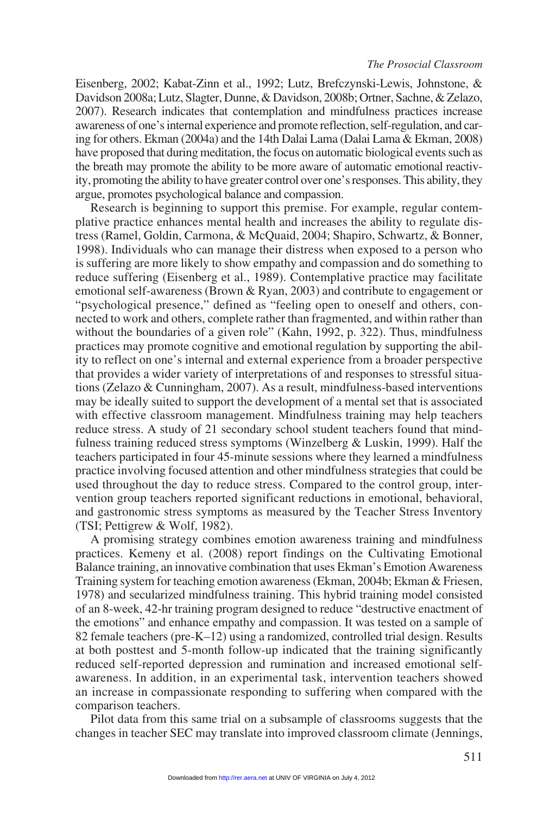Eisenberg, 2002; Kabat-Zinn et al., 1992; Lutz, Brefczynski-Lewis, Johnstone, & Davidson 2008a; Lutz, Slagter, Dunne, & Davidson, 2008b; Ortner, Sachne, & Zelazo, 2007). Research indicates that contemplation and mindfulness practices increase awareness of one's internal experience and promote reflection, self-regulation, and caring for others. Ekman (2004a) and the 14th Dalai Lama (Dalai Lama & Ekman, 2008) have proposed that during meditation, the focus on automatic biological events such as the breath may promote the ability to be more aware of automatic emotional reactivity, promoting the ability to have greater control over one's responses. This ability, they argue, promotes psychological balance and compassion.

Research is beginning to support this premise. For example, regular contemplative practice enhances mental health and increases the ability to regulate distress (Ramel, Goldin, Carmona, & McQuaid, 2004; Shapiro, Schwartz, & Bonner, 1998). Individuals who can manage their distress when exposed to a person who is suffering are more likely to show empathy and compassion and do something to reduce suffering (Eisenberg et al., 1989). Contemplative practice may facilitate emotional self-awareness (Brown & Ryan, 2003) and contribute to engagement or "psychological presence," defined as "feeling open to oneself and others, connected to work and others, complete rather than fragmented, and within rather than without the boundaries of a given role" (Kahn, 1992, p. 322). Thus, mindfulness practices may promote cognitive and emotional regulation by supporting the ability to reflect on one's internal and external experience from a broader perspective that provides a wider variety of interpretations of and responses to stressful situations (Zelazo  $&$  Cunningham, 2007). As a result, mindfulness-based interventions may be ideally suited to support the development of a mental set that is associated with effective classroom management. Mindfulness training may help teachers reduce stress. A study of 21 secondary school student teachers found that mindfulness training reduced stress symptoms (Winzelberg & Luskin, 1999). Half the teachers participated in four 45-minute sessions where they learned a mindfulness practice involving focused attention and other mindfulness strategies that could be used throughout the day to reduce stress. Compared to the control group, intervention group teachers reported significant reductions in emotional, behavioral, and gastronomic stress symptoms as measured by the Teacher Stress Inventory (TSI; Pettigrew & Wolf, 1982).

A promising strategy combines emotion awareness training and mindfulness practices. Kemeny et al. (2008) report findings on the Cultivating Emotional Balance training, an innovative combination that uses Ekman's Emotion Awareness Training system for teaching emotion awareness (Ekman, 2004b; Ekman & Friesen, 1978) and secularized mindfulness training. This hybrid training model consisted of an 8-week, 42-hr training program designed to reduce "destructive enactment of the emotions" and enhance empathy and compassion. It was tested on a sample of 82 female teachers (pre-K–12) using a randomized, controlled trial design. Results at both posttest and 5-month follow-up indicated that the training significantly reduced self-reported depression and rumination and increased emotional selfawareness. In addition, in an experimental task, intervention teachers showed an increase in compassionate responding to suffering when compared with the comparison teachers.

Pilot data from this same trial on a subsample of classrooms suggests that the changes in teacher SEC may translate into improved classroom climate (Jennings,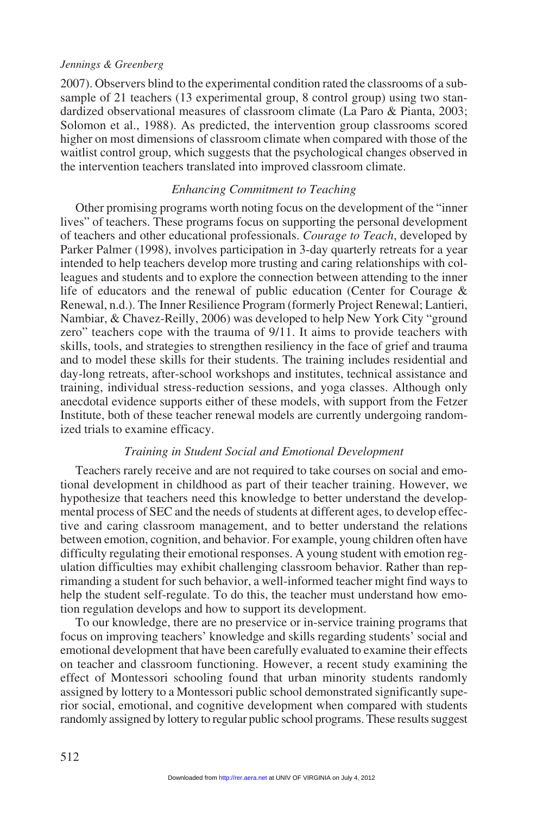2007). Observers blind to the experimental condition rated the classrooms of a subsample of 21 teachers (13 experimental group, 8 control group) using two standardized observational measures of classroom climate (La Paro & Pianta, 2003; Solomon et al., 1988). As predicted, the intervention group classrooms scored higher on most dimensions of classroom climate when compared with those of the waitlist control group, which suggests that the psychological changes observed in the intervention teachers translated into improved classroom climate.

# *Enhancing Commitment to Teaching*

Other promising programs worth noting focus on the development of the "inner lives" of teachers. These programs focus on supporting the personal development of teachers and other educational professionals. *Courage to Teach*, developed by Parker Palmer (1998), involves participation in 3-day quarterly retreats for a year intended to help teachers develop more trusting and caring relationships with colleagues and students and to explore the connection between attending to the inner life of educators and the renewal of public education (Center for Courage  $\&$ Renewal, n.d.). The Inner Resilience Program (formerly Project Renewal; Lantieri, Nambiar, & Chavez-Reilly, 2006) was developed to help New York City "ground zero" teachers cope with the trauma of 9/11. It aims to provide teachers with skills, tools, and strategies to strengthen resiliency in the face of grief and trauma and to model these skills for their students. The training includes residential and day-long retreats, after-school workshops and institutes, technical assistance and training, individual stress-reduction sessions, and yoga classes. Although only anecdotal evidence supports either of these models, with support from the Fetzer Institute, both of these teacher renewal models are currently undergoing randomized trials to examine efficacy.

# *Training in Student Social and Emotional Development*

Teachers rarely receive and are not required to take courses on social and emotional development in childhood as part of their teacher training. However, we hypothesize that teachers need this knowledge to better understand the developmental process of SEC and the needs of students at different ages, to develop effective and caring classroom management, and to better understand the relations between emotion, cognition, and behavior. For example, young children often have difficulty regulating their emotional responses. A young student with emotion regulation difficulties may exhibit challenging classroom behavior. Rather than reprimanding a student for such behavior, a well-informed teacher might find ways to help the student self-regulate. To do this, the teacher must understand how emotion regulation develops and how to support its development.

To our knowledge, there are no preservice or in-service training programs that focus on improving teachers' knowledge and skills regarding students' social and emotional development that have been carefully evaluated to examine their effects on teacher and classroom functioning. However, a recent study examining the effect of Montessori schooling found that urban minority students randomly assigned by lottery to a Montessori public school demonstrated significantly superior social, emotional, and cognitive development when compared with students randomly assigned by lottery to regular public school programs. These results suggest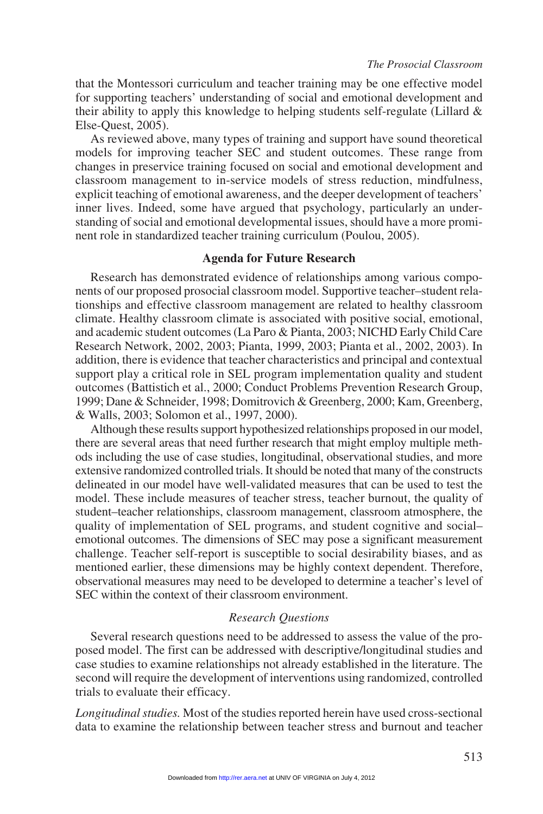that the Montessori curriculum and teacher training may be one effective model for supporting teachers' understanding of social and emotional development and their ability to apply this knowledge to helping students self-regulate (Lillard  $\&$ Else-Quest, 2005).

As reviewed above, many types of training and support have sound theoretical models for improving teacher SEC and student outcomes. These range from changes in preservice training focused on social and emotional development and classroom management to in-service models of stress reduction, mindfulness, explicit teaching of emotional awareness, and the deeper development of teachers' inner lives. Indeed, some have argued that psychology, particularly an understanding of social and emotional developmental issues, should have a more prominent role in standardized teacher training curriculum (Poulou, 2005).

# **Agenda for Future Research**

Research has demonstrated evidence of relationships among various components of our proposed prosocial classroom model. Supportive teacher–student relationships and effective classroom management are related to healthy classroom climate. Healthy classroom climate is associated with positive social, emotional, and academic student outcomes (La Paro & Pianta, 2003; NICHD Early Child Care Research Network, 2002, 2003; Pianta, 1999, 2003; Pianta et al., 2002, 2003). In addition, there is evidence that teacher characteristics and principal and contextual support play a critical role in SEL program implementation quality and student outcomes (Battistich et al., 2000; Conduct Problems Prevention Research Group, 1999; Dane & Schneider, 1998; Domitrovich & Greenberg, 2000; Kam, Greenberg, & Walls, 2003; Solomon et al., 1997, 2000).

Although these results support hypothesized relationships proposed in our model, there are several areas that need further research that might employ multiple methods including the use of case studies, longitudinal, observational studies, and more extensive randomized controlled trials. It should be noted that many of the constructs delineated in our model have well-validated measures that can be used to test the model. These include measures of teacher stress, teacher burnout, the quality of student–teacher relationships, classroom management, classroom atmosphere, the quality of implementation of SEL programs, and student cognitive and social– emotional outcomes. The dimensions of SEC may pose a significant measurement challenge. Teacher self-report is susceptible to social desirability biases, and as mentioned earlier, these dimensions may be highly context dependent. Therefore, observational measures may need to be developed to determine a teacher's level of SEC within the context of their classroom environment.

# *Research Questions*

Several research questions need to be addressed to assess the value of the proposed model. The first can be addressed with descriptive/longitudinal studies and case studies to examine relationships not already established in the literature. The second will require the development of interventions using randomized, controlled trials to evaluate their efficacy.

*Longitudinal studies.* Most of the studies reported herein have used cross-sectional data to examine the relationship between teacher stress and burnout and teacher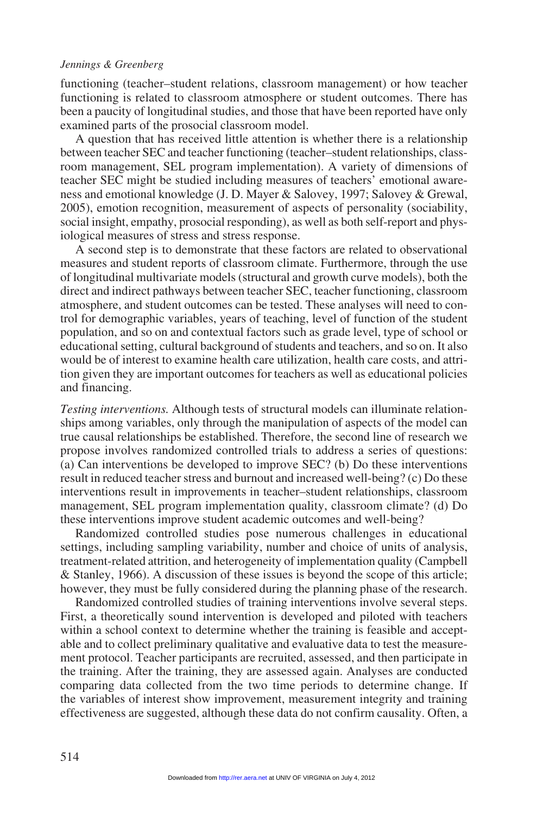functioning (teacher–student relations, classroom management) or how teacher functioning is related to classroom atmosphere or student outcomes. There has been a paucity of longitudinal studies, and those that have been reported have only examined parts of the prosocial classroom model.

A question that has received little attention is whether there is a relationship between teacher SEC and teacher functioning (teacher–student relationships, classroom management, SEL program implementation). A variety of dimensions of teacher SEC might be studied including measures of teachers' emotional awareness and emotional knowledge (J. D. Mayer & Salovey, 1997; Salovey & Grewal, 2005), emotion recognition, measurement of aspects of personality (sociability, social insight, empathy, prosocial responding), as well as both self-report and physiological measures of stress and stress response.

A second step is to demonstrate that these factors are related to observational measures and student reports of classroom climate. Furthermore, through the use of longitudinal multivariate models (structural and growth curve models), both the direct and indirect pathways between teacher SEC, teacher functioning, classroom atmosphere, and student outcomes can be tested. These analyses will need to control for demographic variables, years of teaching, level of function of the student population, and so on and contextual factors such as grade level, type of school or educational setting, cultural background of students and teachers, and so on. It also would be of interest to examine health care utilization, health care costs, and attrition given they are important outcomes for teachers as well as educational policies and financing.

*Testing interventions.* Although tests of structural models can illuminate relationships among variables, only through the manipulation of aspects of the model can true causal relationships be established. Therefore, the second line of research we propose involves randomized controlled trials to address a series of questions: (a) Can interventions be developed to improve SEC? (b) Do these interventions result in reduced teacher stress and burnout and increased well-being? (c) Do these interventions result in improvements in teacher–student relationships, classroom management, SEL program implementation quality, classroom climate? (d) Do these interventions improve student academic outcomes and well-being?

Randomized controlled studies pose numerous challenges in educational settings, including sampling variability, number and choice of units of analysis, treatment-related attrition, and heterogeneity of implementation quality (Campbell & Stanley, 1966). A discussion of these issues is beyond the scope of this article; however, they must be fully considered during the planning phase of the research.

Randomized controlled studies of training interventions involve several steps. First, a theoretically sound intervention is developed and piloted with teachers within a school context to determine whether the training is feasible and acceptable and to collect preliminary qualitative and evaluative data to test the measurement protocol. Teacher participants are recruited, assessed, and then participate in the training. After the training, they are assessed again. Analyses are conducted comparing data collected from the two time periods to determine change. If the variables of interest show improvement, measurement integrity and training effectiveness are suggested, although these data do not confirm causality. Often, a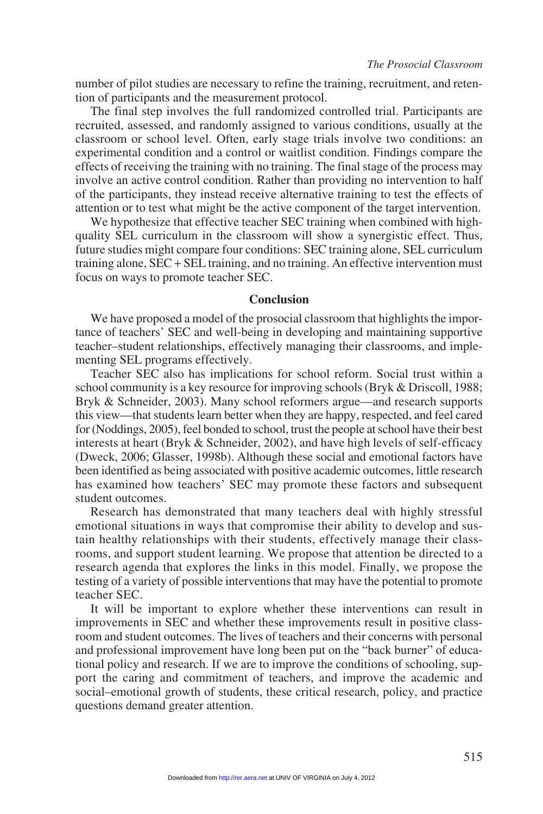number of pilot studies are necessary to refine the training, recruitment, and retention of participants and the measurement protocol.

The final step involves the full randomized controlled trial. Participants are recruited, assessed, and randomly assigned to various conditions, usually at the classroom or school level. Often, early stage trials involve two conditions: an experimental condition and a control or waitlist condition. Findings compare the effects of receiving the training with no training. The final stage of the process may involve an active control condition. Rather than providing no intervention to half of the participants, they instead receive alternative training to test the effects of attention or to test what might be the active component of the target intervention.

We hypothesize that effective teacher SEC training when combined with highquality SEL curriculum in the classroom will show a synergistic effect. Thus, future studies might compare four conditions: SEC training alone, SEL curriculum training alone, SEC + SEL training, and no training. An effective intervention must focus on ways to promote teacher SEC.

#### **Conclusion**

We have proposed a model of the prosocial classroom that highlights the importance of teachers' SEC and well-being in developing and maintaining supportive teacher–student relationships, effectively managing their classrooms, and implementing SEL programs effectively.

Teacher SEC also has implications for school reform. Social trust within a school community is a key resource for improving schools (Bryk & Driscoll, 1988; Bryk & Schneider, 2003). Many school reformers argue—and research supports this view—that students learn better when they are happy, respected, and feel cared for (Noddings, 2005), feel bonded to school, trust the people at school have their best interests at heart (Bryk & Schneider, 2002), and have high levels of self-efficacy (Dweck, 2006; Glasser, 1998b). Although these social and emotional factors have been identified as being associated with positive academic outcomes, little research has examined how teachers' SEC may promote these factors and subsequent student outcomes.

Research has demonstrated that many teachers deal with highly stressful emotional situations in ways that compromise their ability to develop and sustain healthy relationships with their students, effectively manage their classrooms, and support student learning. We propose that attention be directed to a research agenda that explores the links in this model. Finally, we propose the testing of a variety of possible interventions that may have the potential to promote teacher SEC.

It will be important to explore whether these interventions can result in improvements in SEC and whether these improvements result in positive classroom and student outcomes. The lives of teachers and their concerns with personal and professional improvement have long been put on the "back burner" of educational policy and research. If we are to improve the conditions of schooling, support the caring and commitment of teachers, and improve the academic and social–emotional growth of students, these critical research, policy, and practice questions demand greater attention.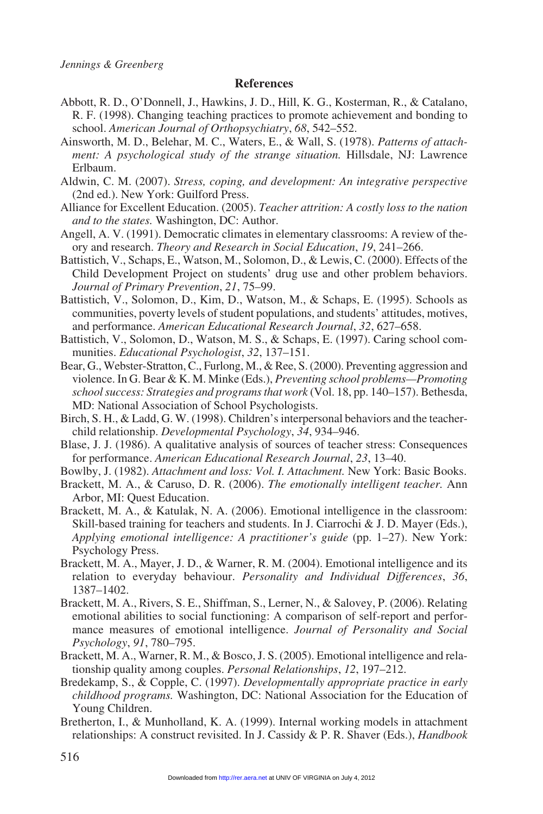#### **References**

- Abbott, R. D., O'Donnell, J., Hawkins, J. D., Hill, K. G., Kosterman, R., & Catalano, R. F. (1998). Changing teaching practices to promote achievement and bonding to school. *American Journal of Orthopsychiatry*, *68*, 542–552.
- Ainsworth, M. D., Belehar, M. C., Waters, E., & Wall, S. (1978). *Patterns of attachment: A psychological study of the strange situation.* Hillsdale, NJ: Lawrence Erlbaum.
- Aldwin, C. M. (2007). *Stress, coping, and development: An integrative perspective* (2nd ed.). New York: Guilford Press.
- Alliance for Excellent Education. (2005). *Teacher attrition: A costly loss to the nation and to the states.* Washington, DC: Author.
- Angell, A. V. (1991). Democratic climates in elementary classrooms: A review of theory and research. *Theory and Research in Social Education*, *19*, 241–266.
- Battistich, V., Schaps, E., Watson, M., Solomon, D., & Lewis, C. (2000). Effects of the Child Development Project on students' drug use and other problem behaviors. *Journal of Primary Prevention*, *21*, 75–99.
- Battistich, V., Solomon, D., Kim, D., Watson, M., & Schaps, E. (1995). Schools as communities, poverty levels of student populations, and students' attitudes, motives, and performance. *American Educational Research Journal*, *32*, 627–658.
- Battistich, V., Solomon, D., Watson, M. S., & Schaps, E. (1997). Caring school communities. *Educational Psychologist*, *32*, 137–151.
- Bear, G., Webster-Stratton, C., Furlong, M., & Ree, S. (2000). Preventing aggression and violence. In G. Bear & K. M. Minke (Eds.), *Preventing school problems—Promoting school success: Strategies and programs that work* (Vol. 18, pp. 140–157). Bethesda, MD: National Association of School Psychologists.
- Birch, S. H., & Ladd, G. W. (1998). Children's interpersonal behaviors and the teacherchild relationship. *Developmental Psychology*, *34*, 934–946.
- Blase, J. J. (1986). A qualitative analysis of sources of teacher stress: Consequences for performance. *American Educational Research Journal*, *23*, 13–40.
- Bowlby, J. (1982). *Attachment and loss: Vol. I. Attachment.* New York: Basic Books.
- Brackett, M. A., & Caruso, D. R. (2006). *The emotionally intelligent teacher.* Ann Arbor, MI: Quest Education.
- Brackett, M. A., & Katulak, N. A. (2006). Emotional intelligence in the classroom: Skill-based training for teachers and students. In J. Ciarrochi & J. D. Mayer (Eds.), *Applying emotional intelligence: A practitioner's guide* (pp. 1–27). New York: Psychology Press.
- Brackett, M. A., Mayer, J. D., & Warner, R. M. (2004). Emotional intelligence and its relation to everyday behaviour. *Personality and Individual Differences*, *36*, 1387–1402.
- Brackett, M. A., Rivers, S. E., Shiffman, S., Lerner, N., & Salovey, P. (2006). Relating emotional abilities to social functioning: A comparison of self-report and performance measures of emotional intelligence. *Journal of Personality and Social Psychology*, *91*, 780–795.
- Brackett, M. A., Warner, R. M., & Bosco, J. S. (2005). Emotional intelligence and relationship quality among couples. *Personal Relationships*, *12*, 197–212.
- Bredekamp, S., & Copple, C. (1997). *Developmentally appropriate practice in early childhood programs.* Washington, DC: National Association for the Education of Young Children.
- Bretherton, I., & Munholland, K. A. (1999). Internal working models in attachment relationships: A construct revisited. In J. Cassidy & P. R. Shaver (Eds.), *Handbook*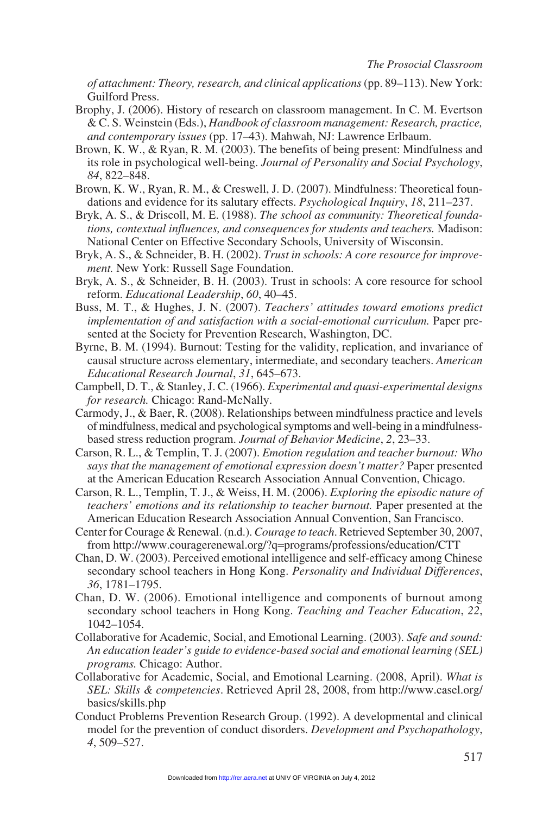*of attachment: Theory, research, and clinical applications*(pp. 89–113). New York: Guilford Press.

- Brophy, J. (2006). History of research on classroom management. In C. M. Evertson & C. S. Weinstein (Eds.), *Handbook of classroom management: Research, practice, and contemporary issues* (pp. 17–43). Mahwah, NJ: Lawrence Erlbaum.
- Brown, K. W., & Ryan, R. M. (2003). The benefits of being present: Mindfulness and its role in psychological well-being. *Journal of Personality and Social Psychology*, *84*, 822–848.
- Brown, K. W., Ryan, R. M., & Creswell, J. D. (2007). Mindfulness: Theoretical foundations and evidence for its salutary effects. *Psychological Inquiry*, *18*, 211–237.
- Bryk, A. S., & Driscoll, M. E. (1988). *The school as community: Theoretical foundations, contextual influences, and consequences for students and teachers.* Madison: National Center on Effective Secondary Schools, University of Wisconsin.
- Bryk, A. S., & Schneider, B. H. (2002). *Trust in schools: A core resource for improvement.* New York: Russell Sage Foundation.
- Bryk, A. S., & Schneider, B. H. (2003). Trust in schools: A core resource for school reform. *Educational Leadership*, *60*, 40–45.
- Buss, M. T., & Hughes, J. N. (2007). *Teachers' attitudes toward emotions predict implementation of and satisfaction with a social-emotional curriculum.* Paper presented at the Society for Prevention Research, Washington, DC.
- Byrne, B. M. (1994). Burnout: Testing for the validity, replication, and invariance of causal structure across elementary, intermediate, and secondary teachers. *American Educational Research Journal*, *31*, 645–673.
- Campbell, D. T., & Stanley, J. C. (1966). *Experimental and quasi-experimental designs for research.* Chicago: Rand-McNally.
- Carmody, J., & Baer, R. (2008). Relationships between mindfulness practice and levels of mindfulness, medical and psychological symptoms and well-being in a mindfulnessbased stress reduction program. *Journal of Behavior Medicine*, *2*, 23–33.
- Carson, R. L., & Templin, T. J. (2007). *Emotion regulation and teacher burnout: Who says that the management of emotional expression doesn't matter?* Paper presented at the American Education Research Association Annual Convention, Chicago.
- Carson, R. L., Templin, T. J., & Weiss, H. M. (2006). *Exploring the episodic nature of teachers' emotions and its relationship to teacher burnout.* Paper presented at the American Education Research Association Annual Convention, San Francisco.
- Center for Courage & Renewal. (n.d.). *Courage to teach*. Retrieved September 30, 2007, from http://www.couragerenewal.org/?q=programs/professions/education/CTT
- Chan, D. W. (2003). Perceived emotional intelligence and self-efficacy among Chinese secondary school teachers in Hong Kong. *Personality and Individual Differences*, *36*, 1781–1795.
- Chan, D. W. (2006). Emotional intelligence and components of burnout among secondary school teachers in Hong Kong. *Teaching and Teacher Education*, *22*, 1042–1054.
- Collaborative for Academic, Social, and Emotional Learning. (2003). *Safe and sound: An education leader's guide to evidence-based social and emotional learning (SEL) programs.* Chicago: Author.
- Collaborative for Academic, Social, and Emotional Learning. (2008, April). *What is SEL: Skills & competencies*. Retrieved April 28, 2008, from http://www.casel.org/ basics/skills.php
- Conduct Problems Prevention Research Group. (1992). A developmental and clinical model for the prevention of conduct disorders. *Development and Psychopathology*, *4*, 509–527.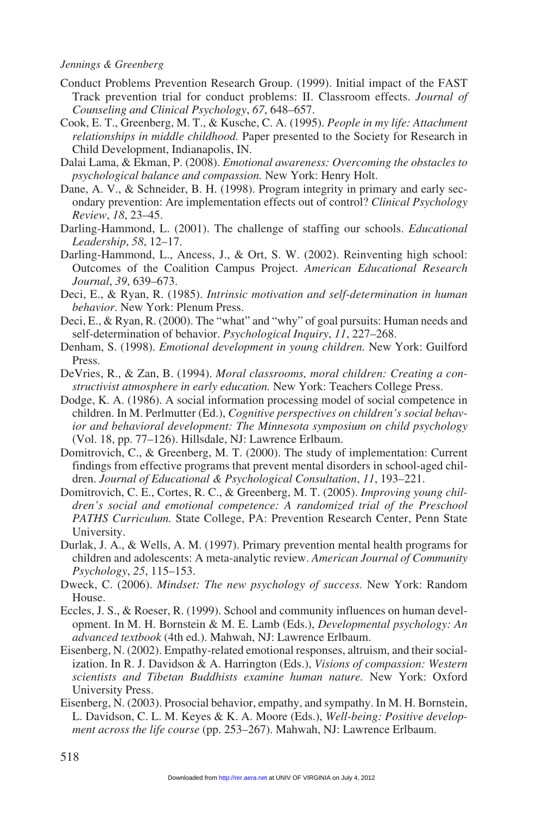- Conduct Problems Prevention Research Group. (1999). Initial impact of the FAST Track prevention trial for conduct problems: II. Classroom effects. *Journal of Counseling and Clinical Psychology*, *67*, 648–657.
- Cook, E. T., Greenberg, M. T., & Kusche, C. A. (1995). *People in my life: Attachment relationships in middle childhood.* Paper presented to the Society for Research in Child Development, Indianapolis, IN.
- Dalai Lama, & Ekman, P. (2008). *Emotional awareness: Overcoming the obstacles to psychological balance and compassion.* New York: Henry Holt.
- Dane, A. V., & Schneider, B. H. (1998). Program integrity in primary and early secondary prevention: Are implementation effects out of control? *Clinical Psychology Review*, *18*, 23–45.
- Darling-Hammond, L. (2001). The challenge of staffing our schools. *Educational Leadership*, *58*, 12–17.
- Darling-Hammond, L., Ancess, J., & Ort, S. W. (2002). Reinventing high school: Outcomes of the Coalition Campus Project. *American Educational Research Journal*, *39*, 639–673.
- Deci, E., & Ryan, R. (1985). *Intrinsic motivation and self-determination in human behavior*. New York: Plenum Press.
- Deci, E., & Ryan, R. (2000). The "what" and "why" of goal pursuits: Human needs and self-determination of behavior. *Psychological Inquiry*, *11*, 227–268.
- Denham, S. (1998). *Emotional development in young children.* New York: Guilford Press.
- DeVries, R., & Zan, B. (1994). *Moral classrooms, moral children: Creating a constructivist atmosphere in early education.* New York: Teachers College Press.
- Dodge, K. A. (1986). A social information processing model of social competence in children. In M. Perlmutter (Ed.), *Cognitive perspectives on children's social behavior and behavioral development: The Minnesota symposium on child psychology* (Vol. 18, pp. 77–126). Hillsdale, NJ: Lawrence Erlbaum.
- Domitrovich, C., & Greenberg, M. T. (2000). The study of implementation: Current findings from effective programs that prevent mental disorders in school-aged children. *Journal of Educational & Psychological Consultation*, *11*, 193–221.
- Domitrovich, C. E., Cortes, R. C., & Greenberg, M. T. (2005). *Improving young children's social and emotional competence: A randomized trial of the Preschool PATHS Curriculum.* State College, PA: Prevention Research Center, Penn State University.
- Durlak, J. A., & Wells, A. M. (1997). Primary prevention mental health programs for children and adolescents: A meta-analytic review. *American Journal of Community Psychology*, *25*, 115–153.
- Dweck, C. (2006). *Mindset: The new psychology of success.* New York: Random House.
- Eccles, J. S., & Roeser, R. (1999). School and community influences on human development. In M. H. Bornstein & M. E. Lamb (Eds.), *Developmental psychology: An advanced textbook* (4th ed.). Mahwah, NJ: Lawrence Erlbaum.
- Eisenberg, N. (2002). Empathy-related emotional responses, altruism, and their socialization. In R. J. Davidson & A. Harrington (Eds.), *Visions of compassion: Western scientists and Tibetan Buddhists examine human nature.* New York: Oxford University Press.
- Eisenberg, N. (2003). Prosocial behavior, empathy, and sympathy. In M. H. Bornstein, L. Davidson, C. L. M. Keyes & K. A. Moore (Eds.), *Well-being: Positive development across the life course* (pp. 253–267). Mahwah, NJ: Lawrence Erlbaum.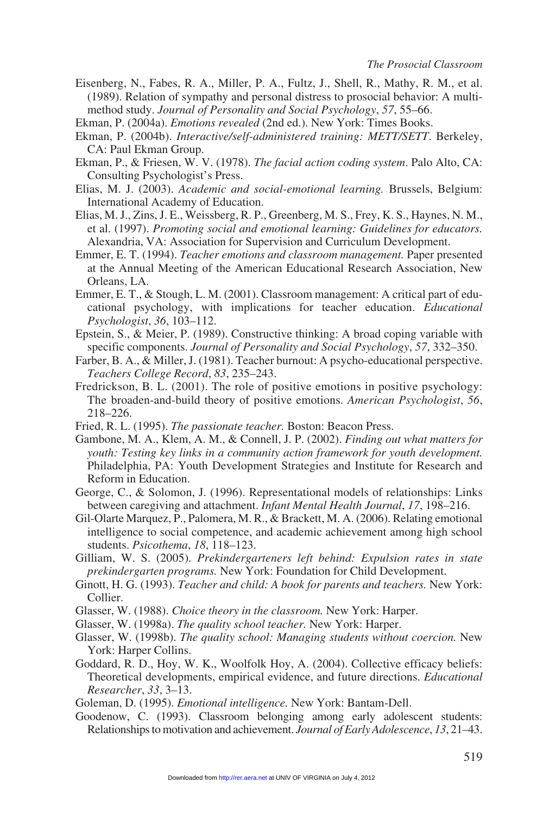- Eisenberg, N., Fabes, R. A., Miller, P. A., Fultz, J., Shell, R., Mathy, R. M., et al. (1989). Relation of sympathy and personal distress to prosocial behavior: A multimethod study. *Journal of Personality and Social Psychology*, *57*, 55–66.
- Ekman, P. (2004a). *Emotions revealed* (2nd ed.). New York: Times Books.
- Ekman, P. (2004b). *Interactive/self-administered training: METT/SETT*. Berkeley, CA: Paul Ekman Group.
- Ekman, P., & Friesen, W. V. (1978). *The facial action coding system*. Palo Alto, CA: Consulting Psychologist's Press.
- Elias, M. J. (2003). *Academic and social-emotional learning.* Brussels, Belgium: International Academy of Education.
- Elias, M. J., Zins, J. E., Weissberg, R. P., Greenberg, M. S., Frey, K. S., Haynes, N. M., et al. (1997). *Promoting social and emotional learning: Guidelines for educators.* Alexandria, VA: Association for Supervision and Curriculum Development.
- Emmer, E. T. (1994). *Teacher emotions and classroom management.* Paper presented at the Annual Meeting of the American Educational Research Association, New Orleans, LA.
- Emmer, E. T., & Stough, L. M. (2001). Classroom management: A critical part of educational psychology, with implications for teacher education. *Educational Psychologist*, *36*, 103–112.
- Epstein, S., & Meier, P. (1989). Constructive thinking: A broad coping variable with specific components. *Journal of Personality and Social Psychology*, *57*, 332–350.
- Farber, B. A., & Miller, J. (1981). Teacher burnout: A psycho-educational perspective. *Teachers College Record*, *83*, 235–243.
- Fredrickson, B. L. (2001). The role of positive emotions in positive psychology: The broaden-and-build theory of positive emotions. *American Psychologist*, *56*, 218–226.
- Fried, R. L. (1995). *The passionate teacher.* Boston: Beacon Press.
- Gambone, M. A., Klem, A. M., & Connell, J. P. (2002). *Finding out what matters for youth: Testing key links in a community action framework for youth development.* Philadelphia, PA: Youth Development Strategies and Institute for Research and Reform in Education.
- George, C., & Solomon, J. (1996). Representational models of relationships: Links between caregiving and attachment. *Infant Mental Health Journal*, *17*, 198–216.
- Gil-Olarte Marquez, P., Palomera, M. R., & Brackett, M. A. (2006). Relating emotional intelligence to social competence, and academic achievement among high school students. *Psicothema*, *18*, 118–123.
- Gilliam, W. S. (2005). *Prekindergarteners left behind: Expulsion rates in state prekindergarten programs.* New York: Foundation for Child Development.
- Ginott, H. G. (1993). *Teacher and child: A book for parents and teachers.* New York: Collier.
- Glasser, W. (1988). *Choice theory in the classroom.* New York: Harper.
- Glasser, W. (1998a). *The quality school teacher.* New York: Harper.
- Glasser, W. (1998b). *The quality school: Managing students without coercion.* New York: Harper Collins.
- Goddard, R. D., Hoy, W. K., Woolfolk Hoy, A. (2004). Collective efficacy beliefs: Theoretical developments, empirical evidence, and future directions. *Educational Researcher*, *33*, 3–13.

Goleman, D. (1995). *Emotional intelligence.* New York: Bantam-Dell.

Goodenow, C. (1993). Classroom belonging among early adolescent students: Relationships to motivation and achievement. *Journal of Early Adolescence*, *13*, 21–43.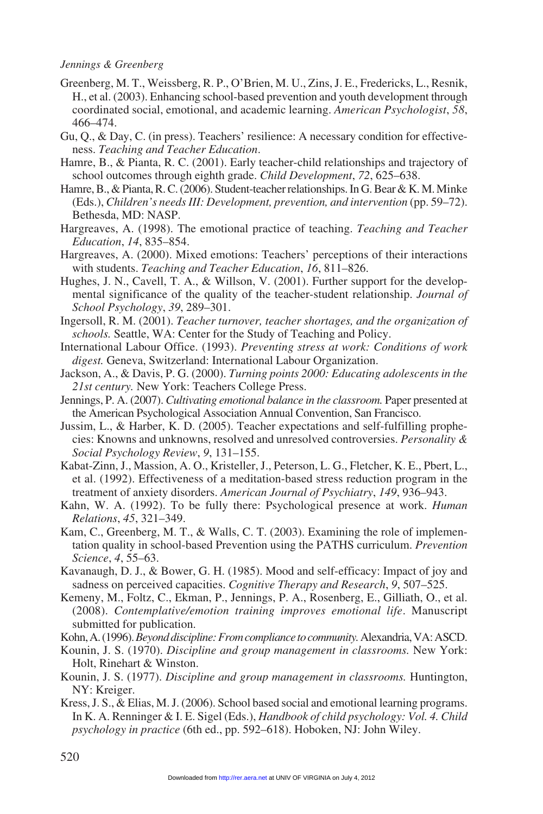- Greenberg, M. T., Weissberg, R. P., O'Brien, M. U., Zins, J. E., Fredericks, L., Resnik, H., et al. (2003). Enhancing school-based prevention and youth development through coordinated social, emotional, and academic learning. *American Psychologist*, *58*, 466–474.
- Gu, Q., & Day, C. (in press). Teachers' resilience: A necessary condition for effectiveness. *Teaching and Teacher Education*.
- Hamre, B., & Pianta, R. C. (2001). Early teacher-child relationships and trajectory of school outcomes through eighth grade. *Child Development*, *72*, 625–638.
- Hamre, B., & Pianta, R. C. (2006). Student-teacher relationships. In G. Bear & K. M. Minke (Eds.), *Children's needs III: Development, prevention, and intervention* (pp. 59–72). Bethesda, MD: NASP.
- Hargreaves, A. (1998). The emotional practice of teaching. *Teaching and Teacher Education*, *14*, 835–854.
- Hargreaves, A. (2000). Mixed emotions: Teachers' perceptions of their interactions with students. *Teaching and Teacher Education*, *16*, 811–826.
- Hughes, J. N., Cavell, T. A., & Willson, V. (2001). Further support for the developmental significance of the quality of the teacher-student relationship. *Journal of School Psychology*, *39*, 289–301.
- Ingersoll, R. M. (2001). *Teacher turnover, teacher shortages, and the organization of schools.* Seattle, WA: Center for the Study of Teaching and Policy.
- International Labour Office. (1993). *Preventing stress at work: Conditions of work digest.* Geneva, Switzerland: International Labour Organization.
- Jackson, A., & Davis, P. G. (2000). *Turning points 2000: Educating adolescents in the 21st century.* New York: Teachers College Press.
- Jennings, P. A. (2007). *Cultivating emotional balance in the classroom.* Paper presented at the American Psychological Association Annual Convention, San Francisco.
- Jussim, L., & Harber, K. D. (2005). Teacher expectations and self-fulfilling prophecies: Knowns and unknowns, resolved and unresolved controversies. *Personality & Social Psychology Review*, *9*, 131–155.
- Kabat-Zinn, J., Massion, A. O., Kristeller, J., Peterson, L. G., Fletcher, K. E., Pbert, L., et al. (1992). Effectiveness of a meditation-based stress reduction program in the treatment of anxiety disorders. *American Journal of Psychiatry*, *149*, 936–943.
- Kahn, W. A. (1992). To be fully there: Psychological presence at work. *Human Relations*, *45*, 321–349.
- Kam, C., Greenberg, M. T., & Walls, C. T. (2003). Examining the role of implementation quality in school-based Prevention using the PATHS curriculum. *Prevention Science*, *4*, 55–63.
- Kavanaugh, D. J., & Bower, G. H. (1985). Mood and self-efficacy: Impact of joy and sadness on perceived capacities. *Cognitive Therapy and Research*, *9*, 507–525.
- Kemeny, M., Foltz, C., Ekman, P., Jennings, P. A., Rosenberg, E., Gilliath, O., et al. (2008). *Contemplative/emotion training improves emotional life*. Manuscript submitted for publication.

Kohn, A. (1996). *Beyond discipline: From compliance to community.*Alexandria, VA: ASCD.

- Kounin, J. S. (1970). *Discipline and group management in classrooms.* New York: Holt, Rinehart & Winston.
- Kounin, J. S. (1977). *Discipline and group management in classrooms.* Huntington, NY: Kreiger.
- Kress, J. S., & Elias, M. J. (2006). School based social and emotional learning programs. In K. A. Renninger & I. E. Sigel (Eds.), *Handbook of child psychology: Vol. 4. Child psychology in practice* (6th ed., pp. 592–618). Hoboken, NJ: John Wiley.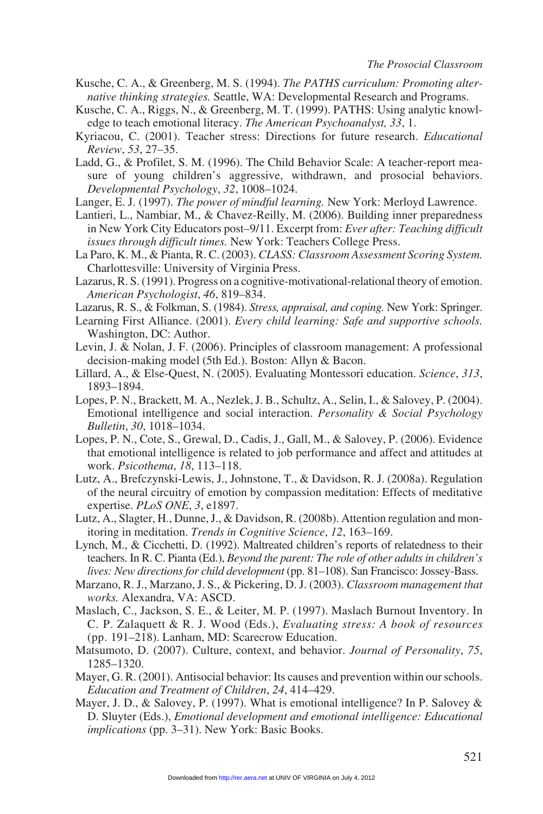- Kusche, C. A., & Greenberg, M. S. (1994). *The PATHS curriculum: Promoting alternative thinking strategies.* Seattle, WA: Developmental Research and Programs.
- Kusche, C. A., Riggs, N., & Greenberg, M. T. (1999). PATHS: Using analytic knowledge to teach emotional literacy. *The American Psychoanalyst, 33*, 1.
- Kyriacou, C. (2001). Teacher stress: Directions for future research. *Educational Review*, *53*, 27–35.
- Ladd, G., & Profilet, S. M. (1996). The Child Behavior Scale: A teacher-report measure of young children's aggressive, withdrawn, and prosocial behaviors. *Developmental Psychology*, *32*, 1008–1024.
- Langer, E. J. (1997). *The power of mindful learning.* New York: Merloyd Lawrence.
- Lantieri, L., Nambiar, M., & Chavez-Reilly, M. (2006). Building inner preparedness in New York City Educators post–9/11. Excerpt from: *Ever after: Teaching difficult issues through difficult times.* New York: Teachers College Press.
- La Paro, K. M., & Pianta, R. C. (2003). *CLASS: Classroom Assessment Scoring System.* Charlottesville: University of Virginia Press.
- Lazarus, R. S. (1991). Progress on a cognitive-motivational-relational theory of emotion. *American Psychologist*, *46*, 819–834.
- Lazarus, R. S., & Folkman, S. (1984). *Stress, appraisal, and coping.* New York: Springer.
- Learning First Alliance. (2001). *Every child learning: Safe and supportive schools.* Washington, DC: Author.
- Levin, J. & Nolan, J. F. (2006). Principles of classroom management: A professional decision-making model (5th Ed.). Boston: Allyn & Bacon.
- Lillard, A., & Else-Quest, N. (2005). Evaluating Montessori education. *Science*, *313*, 1893–1894.
- Lopes, P. N., Brackett, M. A., Nezlek, J. B., Schultz, A., Selin, I., & Salovey, P. (2004). Emotional intelligence and social interaction. *Personality & Social Psychology Bulletin*, *30*, 1018–1034.
- Lopes, P. N., Cote, S., Grewal, D., Cadis, J., Gall, M., & Salovey, P. (2006). Evidence that emotional intelligence is related to job performance and affect and attitudes at work. *Psicothema*, *18*, 113–118.
- Lutz, A., Brefczynski-Lewis, J., Johnstone, T., & Davidson, R. J. (2008a). Regulation of the neural circuitry of emotion by compassion meditation: Effects of meditative expertise. *PLoS ONE*, *3*, e1897.
- Lutz, A., Slagter, H., Dunne, J., & Davidson, R. (2008b). Attention regulation and monitoring in meditation. *Trends in Cognitive Science*, *12*, 163–169.
- Lynch, M., & Cicchetti, D. (1992). Maltreated children's reports of relatedness to their teachers. In R. C. Pianta (Ed.), *Beyond the parent: The role of other adults in children's lives: New directions for child development* (pp. 81–108). San Francisco: Jossey-Bass.
- Marzano, R. J., Marzano, J. S., & Pickering, D. J. (2003). *Classroom management that works.* Alexandra, VA: ASCD.
- Maslach, C., Jackson, S. E., & Leiter, M. P. (1997). Maslach Burnout Inventory. In C. P. Zalaquett & R. J. Wood (Eds.), *Evaluating stress: A book of resources* (pp. 191–218). Lanham, MD: Scarecrow Education.
- Matsumoto, D. (2007). Culture, context, and behavior. *Journal of Personality*, *75*, 1285–1320.
- Mayer, G. R. (2001). Antisocial behavior: Its causes and prevention within our schools. *Education and Treatment of Children*, *24*, 414–429.
- Mayer, J. D., & Salovey, P. (1997). What is emotional intelligence? In P. Salovey & D. Sluyter (Eds.), *Emotional development and emotional intelligence: Educational implications* (pp. 3–31). New York: Basic Books.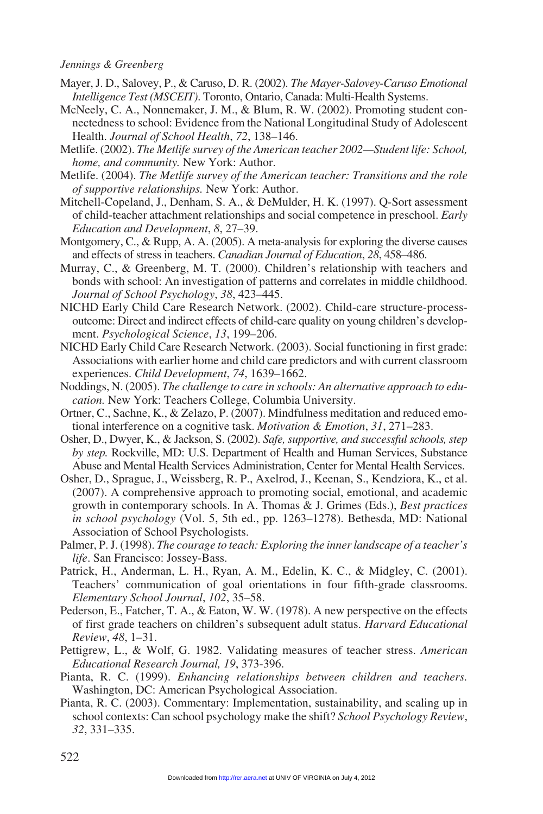- Mayer, J. D., Salovey, P., & Caruso, D. R. (2002). *The Mayer-Salovey-Caruso Emotional Intelligence Test (MSCEIT)*. Toronto, Ontario, Canada: Multi-Health Systems.
- McNeely, C. A., Nonnemaker, J. M., & Blum, R. W. (2002). Promoting student connectedness to school: Evidence from the National Longitudinal Study of Adolescent Health. *Journal of School Health*, *72*, 138–146.
- Metlife. (2002). *The Metlife survey of the American teacher 2002—Student life: School, home, and community.* New York: Author.
- Metlife. (2004). *The Metlife survey of the American teacher: Transitions and the role of supportive relationships.* New York: Author.
- Mitchell-Copeland, J., Denham, S. A., & DeMulder, H. K. (1997). Q-Sort assessment of child-teacher attachment relationships and social competence in preschool. *Early Education and Development*, *8*, 27–39.
- Montgomery, C., & Rupp, A. A. (2005). A meta-analysis for exploring the diverse causes and effects of stress in teachers. *Canadian Journal of Education*, *28*, 458–486.
- Murray, C., & Greenberg, M. T. (2000). Children's relationship with teachers and bonds with school: An investigation of patterns and correlates in middle childhood. *Journal of School Psychology*, *38*, 423–445.
- NICHD Early Child Care Research Network. (2002). Child-care structure-processoutcome: Direct and indirect effects of child-care quality on young children's development. *Psychological Science*, *13*, 199–206.
- NICHD Early Child Care Research Network. (2003). Social functioning in first grade: Associations with earlier home and child care predictors and with current classroom experiences. *Child Development*, *74*, 1639–1662.
- Noddings, N. (2005). *The challenge to care in schools: An alternative approach to education.* New York: Teachers College, Columbia University.
- Ortner, C., Sachne, K., & Zelazo, P. (2007). Mindfulness meditation and reduced emotional interference on a cognitive task. *Motivation & Emotion*, *31*, 271–283.
- Osher, D., Dwyer, K., & Jackson, S. (2002). *Safe, supportive, and successful schools, step by step.* Rockville, MD: U.S. Department of Health and Human Services, Substance Abuse and Mental Health Services Administration, Center for Mental Health Services.
- Osher, D., Sprague, J., Weissberg, R. P., Axelrod, J., Keenan, S., Kendziora, K., et al. (2007). A comprehensive approach to promoting social, emotional, and academic growth in contemporary schools. In A. Thomas & J. Grimes (Eds.), *Best practices in school psychology* (Vol. 5, 5th ed., pp. 1263–1278). Bethesda, MD: National Association of School Psychologists.
- Palmer, P. J. (1998). *The courage to teach: Exploring the inner landscape of a teacher's life*. San Francisco: Jossey-Bass.
- Patrick, H., Anderman, L. H., Ryan, A. M., Edelin, K. C., & Midgley, C. (2001). Teachers' communication of goal orientations in four fifth-grade classrooms. *Elementary School Journal*, *102*, 35–58.
- Pederson, E., Fatcher, T. A., & Eaton, W. W. (1978). A new perspective on the effects of first grade teachers on children's subsequent adult status. *Harvard Educational Review*, *48*, 1–31.
- Pettigrew, L., & Wolf, G. 1982. Validating measures of teacher stress. *American Educational Research Journal, 19*, 373-396.
- Pianta, R. C. (1999). *Enhancing relationships between children and teachers.* Washington, DC: American Psychological Association.
- Pianta, R. C. (2003). Commentary: Implementation, sustainability, and scaling up in school contexts: Can school psychology make the shift? *School Psychology Review*, *32*, 331–335.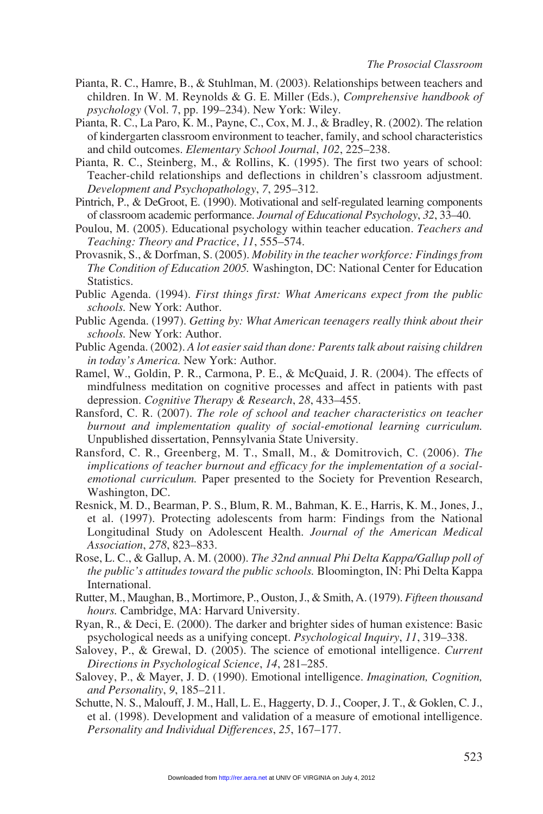- Pianta, R. C., Hamre, B., & Stuhlman, M. (2003). Relationships between teachers and children. In W. M. Reynolds & G. E. Miller (Eds.), *Comprehensive handbook of psychology* (Vol. 7, pp. 199–234). New York: Wiley.
- Pianta, R. C., La Paro, K. M., Payne, C., Cox, M. J., & Bradley, R. (2002). The relation of kindergarten classroom environment to teacher, family, and school characteristics and child outcomes. *Elementary School Journal*, *102*, 225–238.
- Pianta, R. C., Steinberg, M., & Rollins, K. (1995). The first two years of school: Teacher-child relationships and deflections in children's classroom adjustment. *Development and Psychopathology*, *7*, 295–312.
- Pintrich, P., & DeGroot, E. (1990). Motivational and self-regulated learning components of classroom academic performance. *Journal of Educational Psychology*, *32*, 33–40.
- Poulou, M. (2005). Educational psychology within teacher education. *Teachers and Teaching: Theory and Practice*, *11*, 555–574.
- Provasnik, S., & Dorfman, S. (2005). *Mobility in the teacher workforce: Findings from The Condition of Education 2005.* Washington, DC: National Center for Education Statistics.
- Public Agenda. (1994). *First things first: What Americans expect from the public schools.* New York: Author.
- Public Agenda. (1997). *Getting by: What American teenagers really think about their schools.* New York: Author.
- Public Agenda. (2002). *A lot easier said than done: Parents talk about raising children in today's America.* New York: Author.
- Ramel, W., Goldin, P. R., Carmona, P. E., & McQuaid, J. R. (2004). The effects of mindfulness meditation on cognitive processes and affect in patients with past depression. *Cognitive Therapy & Research*, *28*, 433–455.
- Ransford, C. R. (2007). *The role of school and teacher characteristics on teacher burnout and implementation quality of social-emotional learning curriculum.* Unpublished dissertation, Pennsylvania State University.
- Ransford, C. R., Greenberg, M. T., Small, M., & Domitrovich, C. (2006). *The implications of teacher burnout and efficacy for the implementation of a socialemotional curriculum.* Paper presented to the Society for Prevention Research, Washington, DC.
- Resnick, M. D., Bearman, P. S., Blum, R. M., Bahman, K. E., Harris, K. M., Jones, J., et al. (1997). Protecting adolescents from harm: Findings from the National Longitudinal Study on Adolescent Health. *Journal of the American Medical Association*, *278*, 823–833.
- Rose, L. C., & Gallup, A. M. (2000). *The 32nd annual Phi Delta Kappa/Gallup poll of the public's attitudes toward the public schools.* Bloomington, IN: Phi Delta Kappa International.
- Rutter, M., Maughan, B., Mortimore, P., Ouston, J., & Smith, A. (1979). *Fifteen thousand hours.* Cambridge, MA: Harvard University.
- Ryan, R., & Deci, E. (2000). The darker and brighter sides of human existence: Basic psychological needs as a unifying concept. *Psychological Inquiry*, *11*, 319–338.
- Salovey, P., & Grewal, D. (2005). The science of emotional intelligence. *Current Directions in Psychological Science*, *14*, 281–285.
- Salovey, P., & Mayer, J. D. (1990). Emotional intelligence. *Imagination, Cognition, and Personality*, *9*, 185–211.
- Schutte, N. S., Malouff, J. M., Hall, L. E., Haggerty, D. J., Cooper, J. T., & Goklen, C. J., et al. (1998). Development and validation of a measure of emotional intelligence. *Personality and Individual Differences*, *25*, 167–177.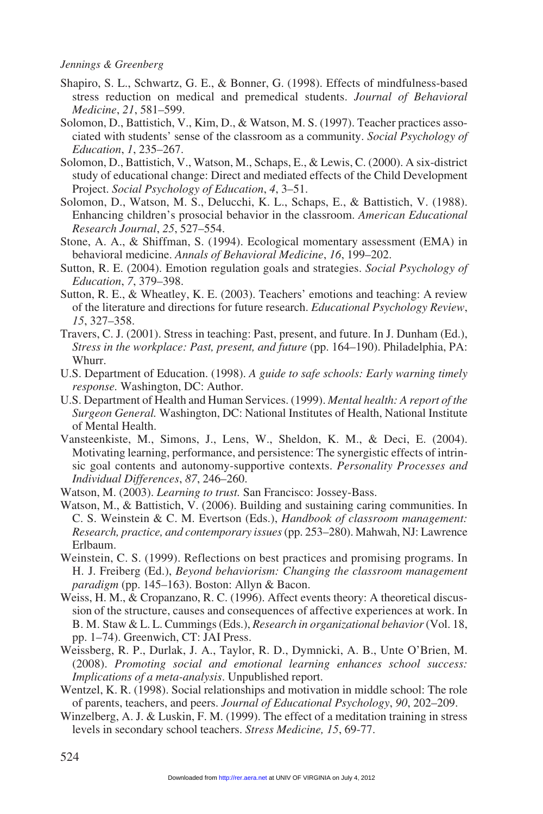- Shapiro, S. L., Schwartz, G. E., & Bonner, G. (1998). Effects of mindfulness-based stress reduction on medical and premedical students. *Journal of Behavioral Medicine*, *21*, 581–599.
- Solomon, D., Battistich, V., Kim, D., & Watson, M. S. (1997). Teacher practices associated with students' sense of the classroom as a community. *Social Psychology of Education*, *1*, 235–267.
- Solomon, D., Battistich, V., Watson, M., Schaps, E., & Lewis, C. (2000). A six-district study of educational change: Direct and mediated effects of the Child Development Project. *Social Psychology of Education*, *4*, 3–51.
- Solomon, D., Watson, M. S., Delucchi, K. L., Schaps, E., & Battistich, V. (1988). Enhancing children's prosocial behavior in the classroom. *American Educational Research Journal*, *25*, 527–554.
- Stone, A. A., & Shiffman, S. (1994). Ecological momentary assessment (EMA) in behavioral medicine. *Annals of Behavioral Medicine*, *16*, 199–202.
- Sutton, R. E. (2004). Emotion regulation goals and strategies. *Social Psychology of Education*, *7*, 379–398.
- Sutton, R. E., & Wheatley, K. E. (2003). Teachers' emotions and teaching: A review of the literature and directions for future research. *Educational Psychology Review*, *15*, 327–358.
- Travers, C. J. (2001). Stress in teaching: Past, present, and future. In J. Dunham (Ed.), *Stress in the workplace: Past, present, and future* (pp. 164–190). Philadelphia, PA: Whurr.
- U.S. Department of Education. (1998). *A guide to safe schools: Early warning timely response.* Washington, DC: Author.
- U.S. Department of Health and Human Services. (1999). *Mental health: A report of the Surgeon General.* Washington, DC: National Institutes of Health, National Institute of Mental Health.
- Vansteenkiste, M., Simons, J., Lens, W., Sheldon, K. M., & Deci, E. (2004). Motivating learning, performance, and persistence: The synergistic effects of intrinsic goal contents and autonomy-supportive contexts. *Personality Processes and Individual Differences*, *87*, 246–260.
- Watson, M. (2003). *Learning to trust.* San Francisco: Jossey-Bass.
- Watson, M., & Battistich, V. (2006). Building and sustaining caring communities. In C. S. Weinstein & C. M. Evertson (Eds.), *Handbook of classroom management: Research, practice, and contemporary issues*(pp. 253–280). Mahwah, NJ: Lawrence Erlbaum.
- Weinstein, C. S. (1999). Reflections on best practices and promising programs. In H. J. Freiberg (Ed.), *Beyond behaviorism: Changing the classroom management paradigm* (pp. 145–163). Boston: Allyn & Bacon.
- Weiss, H. M., & Cropanzano, R. C. (1996). Affect events theory: A theoretical discussion of the structure, causes and consequences of affective experiences at work. In B. M. Staw & L. L. Cummings (Eds.), *Research in organizational behavior*(Vol. 18, pp. 1–74). Greenwich, CT: JAI Press.
- Weissberg, R. P., Durlak, J. A., Taylor, R. D., Dymnicki, A. B., Unte O'Brien, M. (2008). *Promoting social and emotional learning enhances school success: Implications of a meta-analysis*. Unpublished report.
- Wentzel, K. R. (1998). Social relationships and motivation in middle school: The role of parents, teachers, and peers. *Journal of Educational Psychology*, *90*, 202–209.
- Winzelberg, A. J. & Luskin, F. M. (1999). The effect of a meditation training in stress levels in secondary school teachers. *Stress Medicine, 15*, 69-77.